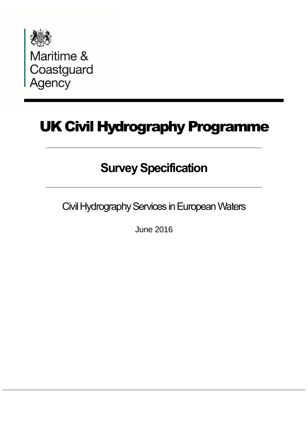

Maritime &<br>Coastguard<br>Agency

# UK Civil Hydrography Programme

# **Survey Specification**

Civil Hydrography Services in European Waters

June 2016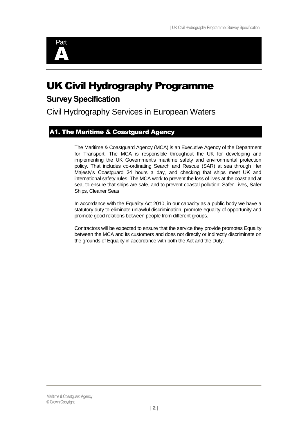

# UK Civil Hydrography Programme

# **Survey Specification**

Civil Hydrography Services in European Waters

# <span id="page-1-0"></span>A1. The Maritime & Coastguard Agency

The Maritime & Coastguard Agency (MCA) is an Executive Agency of the Department for Transport. The MCA is responsible throughout the UK for developing and implementing the UK Government's maritime safety and environmental protection policy. That includes co-ordinating Search and Rescue (SAR) at sea through Her Majesty's Coastguard 24 hours a day, and checking that ships meet UK and international safety rules. The MCA work to prevent the loss of lives at the coast and at sea, to ensure that ships are safe, and to prevent coastal pollution: Safer Lives, Safer Ships, Cleaner Seas

In accordance with the Equality Act 2010, in our capacity as a public body we have a statutory duty to eliminate unlawful discrimination, promote equality of opportunity and promote good relations between people from different groups.

Contractors will be expected to ensure that the service they provide promotes Equality between the MCA and its customers and does not directly or indirectly discriminate on the grounds of Equality in accordance with both the Act and the Duty.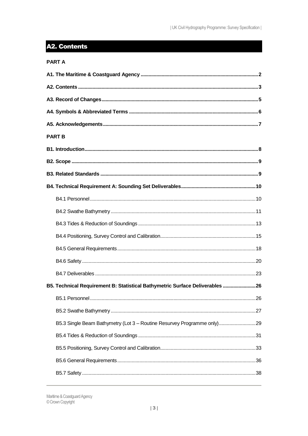# <span id="page-2-0"></span>A2. Contents

| <b>PART A</b>                                                                 |  |
|-------------------------------------------------------------------------------|--|
|                                                                               |  |
|                                                                               |  |
|                                                                               |  |
|                                                                               |  |
|                                                                               |  |
| <b>PART B</b>                                                                 |  |
|                                                                               |  |
|                                                                               |  |
|                                                                               |  |
|                                                                               |  |
|                                                                               |  |
|                                                                               |  |
|                                                                               |  |
|                                                                               |  |
|                                                                               |  |
|                                                                               |  |
|                                                                               |  |
| B5. Technical Requirement B: Statistical Bathymetric Surface Deliverables  26 |  |
|                                                                               |  |
|                                                                               |  |
| B5.3 Single Beam Bathymetry (Lot 3 - Routine Resurvey Programme only)29       |  |
|                                                                               |  |
|                                                                               |  |
|                                                                               |  |
|                                                                               |  |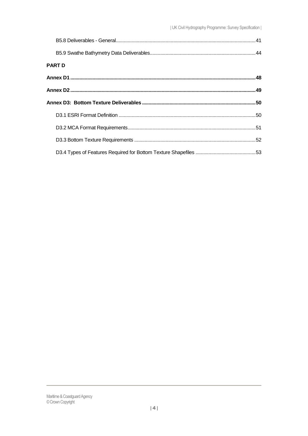| <b>PART D</b> |  |
|---------------|--|
|               |  |
|               |  |
|               |  |
|               |  |
|               |  |
|               |  |
|               |  |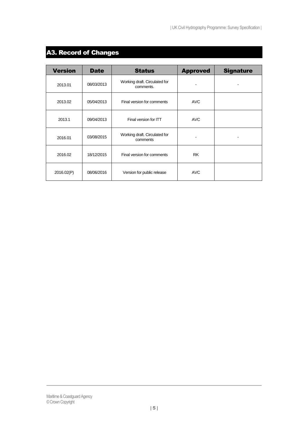# <span id="page-4-0"></span>A3. Record of Changes

| <b>Version</b> | <b>Date</b> | <b>Status</b>                              | <b>Approved</b> | <b>Signature</b> |
|----------------|-------------|--------------------------------------------|-----------------|------------------|
| 2013.01        | 08/03/2013  | Working draft. Circulated for<br>comments. |                 |                  |
| 2013.02        | 05/04/2013  | Final version for comments                 | <b>AVC</b>      |                  |
| 2013.1         | 09/04/2013  | Final version for ITT                      | <b>AVC</b>      |                  |
| 2016.01        | 03/08/2015  | Working draft. Circulated for<br>comments  |                 |                  |
| 2016.02        | 18/12/2015  | Final version for comments                 | <b>RK</b>       |                  |
| 2016.02(P)     | 08/06/2016  | Version for public release                 | <b>AVC</b>      |                  |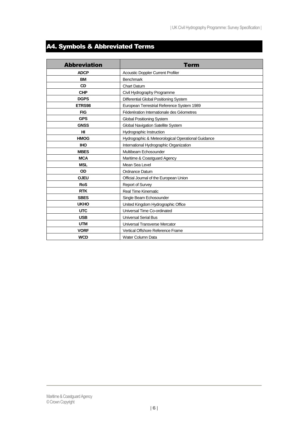# <span id="page-5-0"></span>A4. Symbols & Abbreviated Terms

| <b>Abbreviation</b> | Term                                               |
|---------------------|----------------------------------------------------|
| <b>ADCP</b>         | <b>Acoustic Doppler Current Profiler</b>           |
| <b>BM</b>           | <b>Benchmark</b>                                   |
| <b>CD</b>           | <b>Chart Datum</b>                                 |
| <b>CHP</b>          | Civil Hydrography Programme                        |
| <b>DGPS</b>         | Differential Global Positioning System             |
| ETRS98              | European Terrestrial Reference System 1989         |
| <b>FIG</b>          | Féderération Internationale des Géometres          |
| <b>GPS</b>          | <b>Global Positioning System</b>                   |
| <b>GNSS</b>         | Global Navigation Satellite System                 |
| HI                  | Hydrographic Instruction                           |
| <b>HMOG</b>         | Hydrographic & Meteorological Operational Guidance |
| <b>IHO</b>          | International Hydrographic Organization            |
| <b>MBES</b>         | Multibeam Echosounder                              |
| <b>MCA</b>          | Maritime & Coastguard Agency                       |
| <b>MSL</b>          | Mean Sea Level                                     |
| OD                  | Ordnance Datum                                     |
| <b>OJEU</b>         | Official Journal of the European Union             |
| <b>RoS</b>          | Report of Survey                                   |
| <b>RTK</b>          | <b>Real Time Kinematic</b>                         |
| <b>SBES</b>         | Single Beam Echosounder                            |
| <b>UKHO</b>         | United Kingdom Hydrographic Office                 |
| <b>UTC</b>          | Universal Time Co-ordinated                        |
| <b>USB</b>          | <b>Universal Serial Bus</b>                        |
| <b>UTM</b>          | Universal Transverse Mercator                      |
| <b>VORF</b>         | Vertical Offshore Reference Frame                  |
| <b>WCD</b>          | Water Column Data                                  |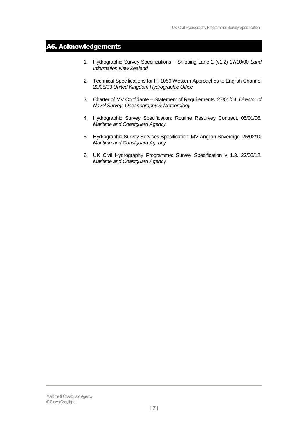# <span id="page-6-0"></span>A5. Acknowledgements

- 1. Hydrographic Survey Specifications Shipping Lane 2 (v1.2) 17/10/00 *Land Information New Zealand*
- 2. Technical Specifications for HI 1059 Western Approaches to English Channel 20/08/03 *United Kingdom Hydrographic Office*
- 3. Charter of MV Confidante Statement of Requirements. 27/01/04. *Director of Naval Survey, Oceanography & Meteorology*
- 4. Hydrographic Survey Specification: Routine Resurvey Contract. 05/01/06. *Maritime and Coastguard Agency*
- 5. Hydrographic Survey Services Specification: MV Anglian Sovereign. 25/02/10 *Maritime and Coastguard Agency*
- 6. UK Civil Hydrography Programme: Survey Specification v 1.3. 22/05/12. *Maritime and Coastguard Agency*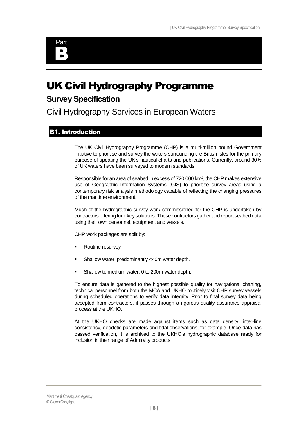

# UK Civil Hydrography Programme

# **Survey Specification**

Civil Hydrography Services in European Waters

# <span id="page-7-0"></span>B1. Introduction

The UK Civil Hydrography Programme (CHP) is a multi-million pound Government initiative to prioritise and survey the waters surrounding the British Isles for the primary purpose of updating the UK's nautical charts and publications. Currently, around 30% of UK waters have been surveyed to modern standards.

Responsible for an area of seabed in excess of 720,000 km², the CHP makes extensive use of Geographic Information Systems (GIS) to prioritise survey areas using a contemporary risk analysis methodology capable of reflecting the changing pressures of the maritime environment.

Much of the hydrographic survey work commissioned for the CHP is undertaken by contractors offering turn-key solutions. These contractors gather and report seabed data using their own personnel, equipment and vessels.

CHP work packages are split by:

- Routine resurvey
- Shallow water: predominantly <40m water depth.
- Shallow to medium water: 0 to 200m water depth.

To ensure data is gathered to the highest possible quality for navigational charting, technical personnel from both the MCA and UKHO routinely visit CHP survey vessels during scheduled operations to verify data integrity. Prior to final survey data being accepted from contractors, it passes through a rigorous quality assurance appraisal process at the UKHO.

At the UKHO checks are made against items such as data density, inter-line consistency, geodetic parameters and tidal observations, for example. Once data has passed verification, it is archived to the UKHO's hydrographic database ready for inclusion in their range of Admiralty products.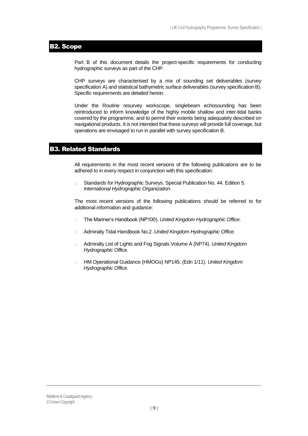# <span id="page-8-0"></span>B2. Scope

Part B of this document details the project-specific requirements for conducting hydrographic surveys as part of the CHP.

CHP surveys are characterised by a mix of sounding set deliverables (survey specification A) and statistical bathymetric surface deliverables (survey specification B). Specific requirements are detailed herein.

Under the Routine resurvey workscope, singlebeam echosounding has been reintroduced to inform knowledge of the highly mobile shallow and inter-tidal banks covered by the programme, and to permit their extents being adequately described on navigational products. It is not intended that these surveys will provide full coverage, but operations are envisaged to run in parallel with survey specification B.

# <span id="page-8-1"></span>B3. Related Standards

All requirements in the most recent versions of the following publications are to be adhered to in every respect in conjunction with this specification:

 $\Box$ Standards for Hydrographic Surveys. Special Publication No. 44. Edition 5. *International Hydrographic Organization*.

The most recent versions of the following publications should be referred to for additional information and guidance:

- The Mariner's Handbook (NP100). *United Kingdom Hydrographic Office*.  $\Box$
- Admiralty Tidal Handbook No.2. *United Kingdom Hydrographic Office.*  $\Box$
- Admiralty List of Lights and Fog Signals Volume A (NP74). *United Kingdom*   $\Box$ *Hydrographic Office*.
- HM Operational Guidance (HMOGs) NP145. (Edn 1/11). *United Kingdom*   $\Box$ *Hydrographic Office*.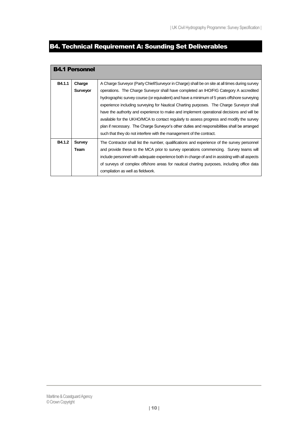# <span id="page-9-0"></span>B4. Technical Requirement A: Sounding Set Deliverables

<span id="page-9-1"></span>

|        | <b>B4.1 Personnel</b> |                                                                                                                                                                                                                                                                                                                                                                                                                                                                                                                                                                             |
|--------|-----------------------|-----------------------------------------------------------------------------------------------------------------------------------------------------------------------------------------------------------------------------------------------------------------------------------------------------------------------------------------------------------------------------------------------------------------------------------------------------------------------------------------------------------------------------------------------------------------------------|
| B4.1.1 | Charge<br>Surveyor    | A Charge Surveyor (Party Chief/Surveyor in Charge) shall be on site at all times during survey<br>operations. The Charge Surveyor shall have completed an IHO/FIG Category A accredited<br>hydrographic survey course (or equivalent) and have a minimum of 5 years offshore surveying<br>experience including surveying for Nautical Charting purposes. The Charge Surveyor shall<br>have the authority and experience to make and implement operational decisions and will be<br>available for the UKHO/MCA to contact regularly to assess progress and modify the survey |
|        |                       | plan if necessary. The Charge Surveyor's other duties and responsibilities shall be arranged<br>such that they do not interfere with the management of the contract.                                                                                                                                                                                                                                                                                                                                                                                                        |
| B4.1.2 | <b>Survey</b><br>Team | The Contractor shall list the number, qualifications and experience of the survey personnel<br>and provide these to the MCA prior to survey operations commencing. Survey teams will<br>include personnel with adequate experience both in charge of and in assisting with all aspects<br>of surveys of complex offshore areas for nautical charting purposes, including office data<br>compilation as well as fieldwork.                                                                                                                                                   |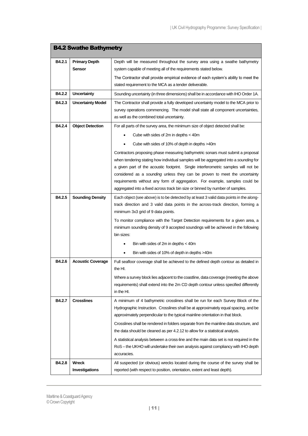<span id="page-10-0"></span>

| <b>B4.2 Swathe Bathymetry</b> |                          |                                                                                                                                                                         |
|-------------------------------|--------------------------|-------------------------------------------------------------------------------------------------------------------------------------------------------------------------|
| B4.2.1                        | <b>Primary Depth</b>     | Depth will be measured throughout the survey area using a swathe bathymetry                                                                                             |
|                               | <b>Sensor</b>            | system capable of meeting all of the requirements stated below.                                                                                                         |
|                               |                          | The Contractor shall provide empirical evidence of each system's ability to meet the                                                                                    |
|                               |                          | stated requirement to the MCA as a tender deliverable.                                                                                                                  |
| B4.2.2                        | <b>Uncertainty</b>       | Sounding uncertainty (in three dimensions) shall be in accordance with IHO Order 1A.                                                                                    |
| B4.2.3                        | <b>Uncertainty Model</b> | The Contractor shall provide a fully developed uncertainty model to the MCA prior to                                                                                    |
|                               |                          | survey operations commencing. The model shall state all component uncertainties,                                                                                        |
|                               |                          | as well as the combined total uncertainty.                                                                                                                              |
| B4.2.4                        | <b>Object Detection</b>  | For all parts of the survey area, the minimum size of object detected shall be:                                                                                         |
|                               |                          | Cube with sides of 2m in depths < 40m                                                                                                                                   |
|                               |                          | Cube with sides of 10% of depth in depths >40m                                                                                                                          |
|                               |                          | Contractors proposing phase measuring bathymetric sonars must submit a proposal                                                                                         |
|                               |                          | when tendering stating how individual samples will be aggregated into a sounding for                                                                                    |
|                               |                          | a given part of the acoustic footprint. Single interferometric samples will not be                                                                                      |
|                               |                          | considered as a sounding unless they can be proven to meet the uncertainty<br>requirements without any form of aggregation. For example, samples could be               |
|                               |                          | aggregated into a fixed across track bin size or binned by number of samples.                                                                                           |
| B4.2.5                        | <b>Sounding Density</b>  | Each object (see above) is to be detected by at least 3 valid data points in the along-                                                                                 |
|                               |                          | track direction and 3 valid data points in the across-track direction, forming a                                                                                        |
|                               |                          | minimum 3x3 grid of 9 data points.                                                                                                                                      |
|                               |                          | To monitor compliance with the Target Detection requirements for a given area, a                                                                                        |
|                               |                          | minimum sounding density of 9 accepted soundings will be achieved in the following                                                                                      |
|                               |                          | bin sizes:                                                                                                                                                              |
|                               |                          | Bin with sides of 2m in depths $<$ 40m<br>$\bullet$                                                                                                                     |
|                               |                          | Bin with sides of 10% of depth in depths >40m<br>$\bullet$                                                                                                              |
| B4.2.6                        | <b>Acoustic Coverage</b> | Full seafloor coverage shall be achieved to the defined depth contour as detailed in                                                                                    |
|                               |                          | the HI.                                                                                                                                                                 |
|                               |                          | Where a survey block lies adjacent to the coastline, data coverage (meeting the above                                                                                   |
|                               |                          | requirements) shall extend into the 2m CD depth contour unless specified differently                                                                                    |
|                               |                          | in the HI.                                                                                                                                                              |
| B4.2.7                        | <b>Crosslines</b>        | A minimum of 4 bathymetric crosslines shall be run for each Survey Block of the<br>Hydrographic Instruction. Crosslines shall be at approximately equal spacing, and be |
|                               |                          | approximately perpendicular to the typical mainline orientation in that block.                                                                                          |
|                               |                          | Crosslines shall be rendered in folders separate from the mainline data structure, and                                                                                  |
|                               |                          | the data should be cleaned as per 4.2.12 to allow for a statistical analysis.                                                                                           |
|                               |                          | A statistical analysis between a cross-line and the main data set is not required in the                                                                                |
|                               |                          | RoS – the UKHO will undertake their own analysis against compliancy with IHO depth                                                                                      |
|                               |                          | accuracies.                                                                                                                                                             |
| B4.2.8                        | Wreck                    | All suspected (or obvious) wrecks located during the course of the survey shall be                                                                                      |
|                               | Investigations           | reported (with respect to position, orientation, extent and least depth).                                                                                               |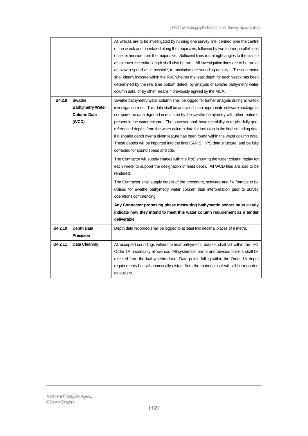|         |                                                           | All wrecks are to be investigated by running one survey line, centred over the centre<br>of the wreck and orientated along the major axis, followed by two further parallel lines<br>offset either side from the major axis. Sufficient lines run at right angles to the first so<br>as to cover the entire length shall also be run. All investigation lines are to be run at<br>as slow a speed as is possible, to maximise the sounding density. The contractor<br>shall clearly indicate within the RoS whether the least depth for each wreck has been<br>determined by the real time bottom detect, by analysis of swathe bathymetry water<br>column data, or by other means if previously agreed by the MCA. |
|---------|-----------------------------------------------------------|---------------------------------------------------------------------------------------------------------------------------------------------------------------------------------------------------------------------------------------------------------------------------------------------------------------------------------------------------------------------------------------------------------------------------------------------------------------------------------------------------------------------------------------------------------------------------------------------------------------------------------------------------------------------------------------------------------------------|
| B4.2.9  | Swathe<br><b>Bathymetry Water</b><br>Column Data<br>(WCD) | Swathe bathymetry water column shall be logged for further analysis during all wreck<br>investigation lines. This data shall be analysed in an appropriate software package to<br>compare the data digitised in real time by the swathe bathymetry with other features<br>present in the water column. The surveyor shall have the ability to re-pick fully geo-<br>referenced depths from the water column data for inclusion in the final sounding data<br>if a shoaler depth over a given feature has been found within the water column data.<br>These depths will be imported into the final CARIS HIPS data structure, and be fully<br>corrected for sound speed and tide.                                    |
|         |                                                           | The Contractor will supply images with the RoS showing the water column replay for<br>each wreck to support the designation of least depth. All WCD files are also to be<br>rendered.                                                                                                                                                                                                                                                                                                                                                                                                                                                                                                                               |
|         |                                                           | The Contractor shall supply details of the procedure, software and file formats to be<br>utilised for swathe bathymetry water column data interpretation prior to survey<br>operations commencing.                                                                                                                                                                                                                                                                                                                                                                                                                                                                                                                  |
|         |                                                           | Any Contractor proposing phase measuring bathymetric sonars must clearly                                                                                                                                                                                                                                                                                                                                                                                                                                                                                                                                                                                                                                            |
|         |                                                           | indicate how they intend to meet this water column requirement as a tender<br>deliverable.                                                                                                                                                                                                                                                                                                                                                                                                                                                                                                                                                                                                                          |
| B4.2.10 | <b>Depth Data</b><br>Precision                            | Depth data recorded shall be logged to at least two decimal places of a metre.                                                                                                                                                                                                                                                                                                                                                                                                                                                                                                                                                                                                                                      |
| B4.2.11 | <b>Data Cleaning</b>                                      | All accepted soundings within the final bathymetric dataset shall fall within the IHO<br>Order 1A uncertainty allowance. All systematic errors and obvious outliers shall be<br>rejected from the bathymetric data. Data points falling within the Order 1A depth<br>requirements but still numerically distant from the main dataset will still be regarded<br>as outliers.                                                                                                                                                                                                                                                                                                                                        |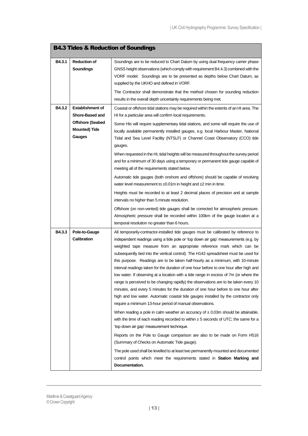<span id="page-12-0"></span>

|        |                         | <b>B4.3 Tides &amp; Reduction of Soundings</b>                                             |
|--------|-------------------------|--------------------------------------------------------------------------------------------|
| B4.3.1 | <b>Reduction of</b>     | Soundings are to be reduced to Chart Datum by using dual frequency carrier phase           |
|        | <b>Soundings</b>        | GNSS height observations (which comply with requirement B4.4.3) combined with the          |
|        |                         | VORF model. Soundings are to be presented as depths below Chart Datum, as                  |
|        |                         | supplied by the UKHO and defined in VORF.                                                  |
|        |                         | The Contractor shall demonstrate that the method chosen for sounding reduction             |
|        |                         | results in the overall depth uncertainty requirements being met.                           |
| B4.3.2 | <b>Establishment of</b> | Coastal or offshore tidal stations may be required within the extents of an HI area. The   |
|        | Shore-Based and         | HI for a particular area will confirm local requirements.                                  |
|        | <b>Offshore (Seabed</b> | Some HIs will require supplementary tidal stations, and some will require the use of       |
|        | <b>Mounted) Tide</b>    | locally available permanently installed gauges, e.g. local Harbour Master, National        |
|        | Gauges                  | Tidal and Sea Level Facility (NTSLF) or Channel Coast Observatory (CCO) tide               |
|        |                         | gauges.                                                                                    |
|        |                         | When requested in the HI, tidal heights will be measured throughout the survey period      |
|        |                         | and for a minimum of 30 days using a temporary or permanent tide gauge capable of          |
|        |                         | meeting all of the requirements stated below.                                              |
|        |                         | Automatic tide gauges (both onshore and offshore) should be capable of resolving           |
|        |                         | water level measurement to $\pm 0.01$ m in height and $\pm 2$ min in time.                 |
|        |                         | Heights must be recorded to at least 2 decimal places of precision and at sample           |
|        |                         | intervals no higher than 5 minute resolution.                                              |
|        |                         | Offshore (on non-vented) tide gauges shall be corrected for atmospheric pressure.          |
|        |                         | Atmospheric pressure shall be recorded within 100km of the gauge location at a             |
|        |                         | temporal resolution no greater than 6 hours.                                               |
| B4.3.3 | Pole-to-Gauge           | All temporarily-contractor-installed tide gauges must be calibrated by reference to        |
|        | <b>Calibration</b>      | independent readings using a tide pole or 'top down air gap' measurements (e.g. by         |
|        |                         | weighted tape measure from an appropriate reference mark which can be                      |
|        |                         | subsequently tied into the vertical control). The H143 spreadsheet must be used for        |
|        |                         | this purpose. Readings are to be taken half-hourly as a minimum, with 10-minute            |
|        |                         | interval readings taken for the duration of one hour before to one hour after high and     |
|        |                         | low water. If observing at a location with a tide range in excess of 7m (or where the      |
|        |                         | range is perceived to be changing rapidly) the observations are to be taken every 10       |
|        |                         | minutes, and every 5 minutes for the duration of one hour before to one hour after         |
|        |                         | high and low water. Automatic coastal tide gauges installed by the contractor only         |
|        |                         | require a minimum 13-hour period of manual observations.                                   |
|        |                         | When reading a pole in calm weather an accuracy of $\pm$ 0.03m should be attainable,       |
|        |                         | with the time of each reading recorded to within $\pm$ 5 seconds of UTC; the same for a    |
|        |                         | 'top down air gap' measurement technique.                                                  |
|        |                         | Reports on the Pole to Gauge comparison are also to be made on Form H516                   |
|        |                         | (Summary of Checks on Automatic Tide gauge).                                               |
|        |                         | The pole used shall be levelled to at least two permanently mounted and documented         |
|        |                         | control points which meet the requirements stated in Station Marking and<br>Documentation. |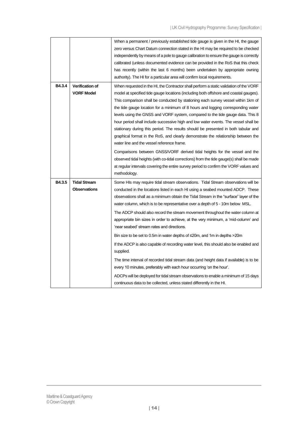|        |                                             | When a permanent / previously established tide gauge is given in the HI, the gauge<br>zero versus Chart Datum connection stated in the HI may be required to be checked<br>independently by means of a pole to gauge calibration to ensure the gauge is correctly<br>calibrated (unless documented evidence can be provided in the RoS that this check<br>has recently (within the last 6 months) been undertaken by appropriate owning<br>authority). The HI for a particular area will confirm local requirements.                                                                                                                                                                                                                                       |
|--------|---------------------------------------------|------------------------------------------------------------------------------------------------------------------------------------------------------------------------------------------------------------------------------------------------------------------------------------------------------------------------------------------------------------------------------------------------------------------------------------------------------------------------------------------------------------------------------------------------------------------------------------------------------------------------------------------------------------------------------------------------------------------------------------------------------------|
| B4.3.4 | <b>Verification of</b><br><b>VORF Model</b> | When requested in the HI, the Contractor shall perform a static validation of the VORF<br>model at specified tide gauge locations (including both offshore and coastal gauges).<br>This comparison shall be conducted by stationing each survey vessel within 1km of<br>the tide gauge location for a minimum of 8 hours and logging corresponding water<br>levels using the GNSS and VORF system, compared to the tide gauge data. This 8<br>hour period shall include successive high and low water events. The vessel shall be<br>stationary during this period. The results should be presented in both tabular and<br>graphical format in the RoS, and clearly demonstrate the relationship between the<br>water line and the vessel reference frame. |
|        |                                             | Comparisons between GNSS/VORF derived tidal heights for the vessel and the<br>observed tidal heights (with co-tidal corrections) from the tide gauge(s) shall be made<br>at regular intervals covering the entire survey period to confirm the VORF values and<br>methodology.                                                                                                                                                                                                                                                                                                                                                                                                                                                                             |
| B4.3.5 | <b>Tidal Stream</b><br><b>Observations</b>  | Some HIs may require tidal stream observations. Tidal Stream observations will be<br>conducted in the locations listed in each HI using a seabed mounted ADCP. These<br>observations shall as a minimum obtain the Tidal Stream in the "surface" layer of the<br>water column, which is to be representative over a depth of 5 - 10m below MSL.<br>The ADCP should also record the stream movement throughout the water column at<br>appropriate bin sizes in order to achieve, at the very minimum, a 'mid-column' and<br>'near seabed' stream rates and directions.                                                                                                                                                                                      |
|        |                                             | Bin size to be set to 0.5m in water depths of $\leq$ 20m, and 1m in depths >20m<br>If the ADCP is also capable of recording water level, this should also be enabled and<br>supplied.<br>The time interval of recorded tidal stream data (and height data if available) is to be<br>every 10 minutes, preferably with each hour occurring 'on the hour'.<br>ADCPs will be deployed for tidal stream observations to enable a minimum of 15 days<br>continuous data to be collected, unless stated differently in the HI.                                                                                                                                                                                                                                   |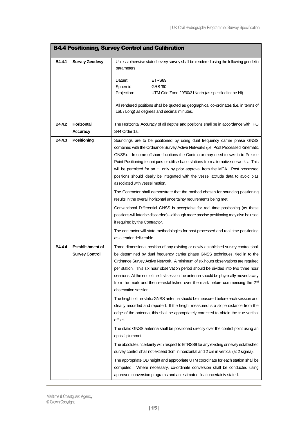<span id="page-14-0"></span>

|        |                                                  | <b>B4.4 Positioning, Survey Control and Calibration</b>                                                                                                                                                                                                                                                                                                                                                                                                                                                                                                                                                                                                                                                                                      |
|--------|--------------------------------------------------|----------------------------------------------------------------------------------------------------------------------------------------------------------------------------------------------------------------------------------------------------------------------------------------------------------------------------------------------------------------------------------------------------------------------------------------------------------------------------------------------------------------------------------------------------------------------------------------------------------------------------------------------------------------------------------------------------------------------------------------------|
| B4.4.1 | <b>Survey Geodesy</b>                            | Unless otherwise stated, every survey shall be rendered using the following geodetic<br>parameters                                                                                                                                                                                                                                                                                                                                                                                                                                                                                                                                                                                                                                           |
|        |                                                  | Datum:<br>ETRS89<br>Spheroid:<br><b>GRS '80</b><br>Projection:<br>UTM Grid Zone 29/30/31 North (as specified in the HI)                                                                                                                                                                                                                                                                                                                                                                                                                                                                                                                                                                                                                      |
|        |                                                  | All rendered positions shall be quoted as geographical co-ordinates (i.e. in terms of<br>Lat. / Long) as degrees and decimal minutes.                                                                                                                                                                                                                                                                                                                                                                                                                                                                                                                                                                                                        |
| B4.4.2 | Horizontal<br><b>Accuracy</b>                    | The Horizontal Accuracy of all depths and positions shall be in accordance with IHO<br>S44 Order 1a.                                                                                                                                                                                                                                                                                                                                                                                                                                                                                                                                                                                                                                         |
| B4.4.3 | Positioning                                      | Soundings are to be positioned by using dual frequency carrier phase GNSS<br>combined with the Ordnance Survey Active Networks (i.e. Post Processed Kinematic<br>GNSS). In some offshore locations the Contractor may need to switch to Precise<br>Point Positioning techniques or utilise base stations from alternative networks. This<br>will be permitted for an HI only by prior approval from the MCA. Post processed<br>positions should ideally be integrated with the vessel attitude data to avoid bias<br>associated with vessel motion.                                                                                                                                                                                          |
|        |                                                  | The Contractor shall demonstrate that the method chosen for sounding positioning<br>results in the overall horizontal uncertainty requirements being met.<br>Conventional Differential GNSS is acceptable for real time positioning (as these<br>positions will later be discarded) – although more precise positioning may also be used<br>if required by the Contractor.<br>The contractor will state methodologies for post-processed and real time positioning                                                                                                                                                                                                                                                                           |
|        |                                                  | as a tender deliverable.                                                                                                                                                                                                                                                                                                                                                                                                                                                                                                                                                                                                                                                                                                                     |
| B4.4.4 | <b>Establishment of</b><br><b>Survey Control</b> | Three dimensional position of any existing or newly established survey control shall<br>be determined by dual frequency carrier phase GNSS techniques, tied in to the<br>Ordnance Survey Active Network. A minimum of six hours observations are required<br>per station. This six hour observation period should be divided into two three hour<br>sessions. At the end of the first session the antenna should be physically moved away<br>from the mark and then re-established over the mark before commencing the 2 <sup>nd</sup><br>observation session.                                                                                                                                                                               |
|        |                                                  | The height of the static GNSS antenna should be measured before each session and<br>clearly recorded and reported. If the height measured is a slope distance from the<br>edge of the antenna, this shall be appropriately corrected to obtain the true vertical<br>offset.<br>The static GNSS antenna shall be positioned directly over the control point using an<br>optical plummet.<br>The absolute uncertainty with respect to ETRS89 for any existing or newly established<br>survey control shall not exceed 1cm in horizontal and 2 cm in vertical (at 2 sigma).<br>The appropriate OD height and appropriate UTM coordinate for each station shall be<br>computed. Where necessary, co-ordinate conversion shall be conducted using |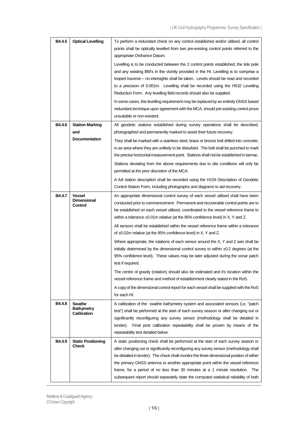| B4.4.5 | <b>Optical Levelling</b>                       | To perform a redundant check on any control established and/or utilised, all control<br>points shall be optically levelled from two pre-existing control points referred to the<br>appropriate Ordnance Datum.                                                                                                                                                                                                                                                                                                                           |
|--------|------------------------------------------------|------------------------------------------------------------------------------------------------------------------------------------------------------------------------------------------------------------------------------------------------------------------------------------------------------------------------------------------------------------------------------------------------------------------------------------------------------------------------------------------------------------------------------------------|
|        |                                                | Levelling is to be conducted between the 2 control points established, the tide pole<br>and any existing BM's in the vicinity provided in the HI. Levelling is to comprise a<br>looped traverse – no intersights shall be taken. Levels should be read and recorded<br>to a precision of 0.001m. Levelling shall be recorded using the H532 Levelling<br>Reduction Form. Any levelling field records should also be supplied.                                                                                                            |
|        |                                                | In some cases, this levelling requirement may be replaced by an entirely GNSS based<br>redundant technique upon agreement with the MCA, should pre-existing control prove<br>unsuitable or non-existent.                                                                                                                                                                                                                                                                                                                                 |
| B4.4.6 | <b>Station Marking</b><br>and                  | All geodetic stations established during survey operations shall be described,<br>photographed and permanently marked to assist their future recovery.                                                                                                                                                                                                                                                                                                                                                                                   |
|        | <b>Documentation</b>                           | They shall be marked with a stainless steel, brass or bronze bolt drilled into concrete,<br>in an area where they are unlikely to be disturbed. The bolt shall be punched to mark<br>the precise horizontal measurement point. Stations shall not be established in tarmac.<br>Stations deviating from the above requirements due to site conditions will only be<br>permitted at the prior discretion of the MCA.<br>A full station description shall be recorded using the H159 Description of Geodetic                                |
|        |                                                | Control Station Form, including photographs and diagrams to aid recovery.                                                                                                                                                                                                                                                                                                                                                                                                                                                                |
| B4.4.7 | <b>Vessel</b><br><b>Dimensional</b><br>Control | An appropriate dimensional control survey of each vessel utilised shall have been<br>conducted prior to commencement. Permanent and recoverable control points are to<br>be established on each vessel utilised, coordinated to the vessel reference frame to<br>within a tolerance $\pm 0.01$ m relative (at the 95% confidence level) in X, Y and Z.                                                                                                                                                                                   |
|        |                                                | All sensors shall be established within the vessel reference frame within a tolerance<br>of $\pm 0.02$ m relative (at the 95% confidence level) in X, Y and Z.                                                                                                                                                                                                                                                                                                                                                                           |
|        |                                                | Where appropriate, the rotations of each sensor around the X, Y and Z axis shall be<br>initially determined by the dimensional control survey to within $\pm 0.2$ degrees (at the<br>95% confidence level). These values may be later adjusted during the sonar patch<br>test if required.                                                                                                                                                                                                                                               |
|        |                                                | The centre of gravity (rotation) should also be estimated and it's location within the<br>vessel reference frame and method of establishment clearly stated in the RoS.                                                                                                                                                                                                                                                                                                                                                                  |
|        |                                                | A copy of the dimensional control report for each vessel shall be supplied with the RoS<br>for each HI.                                                                                                                                                                                                                                                                                                                                                                                                                                  |
| B4.4.8 | Swathe<br><b>Bathymetry</b><br>Calibration     | A calibration of the swathe bathymetry system and associated sensors (i,e, "patch<br>test") shall be performed at the start of each survey season or after changing out or<br>significantly reconfiguring any survey sensor (methodology shall be detailed in<br>tender). Final post calibration repeatability shall be proven by means of the<br>repeatability test detailed below.                                                                                                                                                     |
| B4.4.9 | <b>Static Positioning</b><br><b>Check</b>      | A static positioning check shall be performed at the start of each survey season or<br>after changing out or significantly reconfiguring any survey sensor (methodology shall<br>be detailed in tender). The check shall monitor the three dimensional position of either<br>the primary GNSS antenna or another appropriate point within the vessel reference<br>frame, for a period of no less than 30 minutes at a 1 minute resolution. The<br>subsequent report should separately state the computed statistical reliability of both |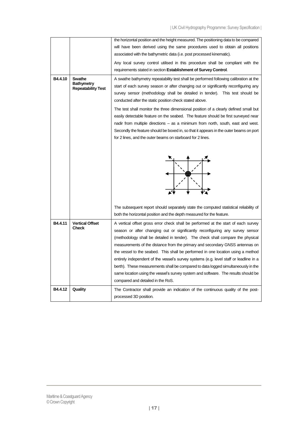|         |                                                | the horizontal position and the height measured. The positioning data to be compared                                                                                       |
|---------|------------------------------------------------|----------------------------------------------------------------------------------------------------------------------------------------------------------------------------|
|         |                                                | will have been derived using the same procedures used to obtain all positions                                                                                              |
|         |                                                | associated with the bathymetric data (i.e. post processed kinematic).                                                                                                      |
|         |                                                | Any local survey control utilised in this procedure shall be compliant with the                                                                                            |
|         |                                                | requirements stated in section Establishment of Survey Control.                                                                                                            |
| B4.4.10 | <b>Swathe</b>                                  | A swathe bathymetry repeatability test shall be performed following calibration at the                                                                                     |
|         | <b>Bathymetry</b><br><b>Repeatability Test</b> | start of each survey season or after changing out or significantly reconfiguring any                                                                                       |
|         |                                                | survey sensor (methodology shall be detailed in tender). This test should be                                                                                               |
|         |                                                | conducted after the static position check stated above.                                                                                                                    |
|         |                                                | The test shall monitor the three dimensional position of a clearly defined small but                                                                                       |
|         |                                                | easily detectable feature on the seabed. The feature should be first surveyed near                                                                                         |
|         |                                                | nadir from multiple directions – as a minimum from north, south, east and west.                                                                                            |
|         |                                                | Secondly the feature should be boxed in, so that it appears in the outer beams on port                                                                                     |
|         |                                                | for 2 lines, and the outer beams on starboard for 2 lines.                                                                                                                 |
|         |                                                |                                                                                                                                                                            |
|         |                                                |                                                                                                                                                                            |
|         |                                                | The subsequent report should separately state the computed statistical reliability of                                                                                      |
|         |                                                | both the horizontal position and the depth measured for the feature.                                                                                                       |
| B4.4.11 | <b>Vertical Offset</b><br><b>Check</b>         | A vertical offset gross error check shall be performed at the start of each survey                                                                                         |
|         |                                                | season or after changing out or significantly reconfiguring any survey sensor                                                                                              |
|         |                                                | (methodology shall be detailed in tender). The check shall compare the physical                                                                                            |
|         |                                                | measurements of the distance from the primary and secondary GNSS antennas on                                                                                               |
|         |                                                | the vessel to the seabed. This shall be performed in one location using a method<br>entirely independent of the vessel's survey systems (e.g. level staff or leadline in a |
|         |                                                | berth). These measurements shall be compared to data logged simultaneously in the                                                                                          |
|         |                                                | same location using the vessel's survey system and software. The results should be                                                                                         |
|         |                                                | compared and detailed in the RoS.                                                                                                                                          |
| B4.4.12 | Quality                                        | The Contractor shall provide an indication of the continuous quality of the post-                                                                                          |
|         |                                                | processed 3D position.                                                                                                                                                     |
|         |                                                |                                                                                                                                                                            |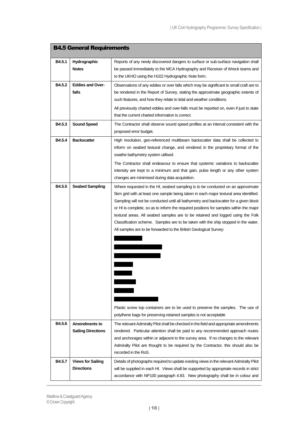<span id="page-17-0"></span>

| <b>B4.5 General Requirements</b> |                                                   |                                                                                                                                                                                                                                                                                                                                                                                                                                                                                                                                                                                                                                                                                                                                                                  |
|----------------------------------|---------------------------------------------------|------------------------------------------------------------------------------------------------------------------------------------------------------------------------------------------------------------------------------------------------------------------------------------------------------------------------------------------------------------------------------------------------------------------------------------------------------------------------------------------------------------------------------------------------------------------------------------------------------------------------------------------------------------------------------------------------------------------------------------------------------------------|
| B4.5.1                           | Hydrographic<br><b>Notes</b>                      | Reports of any newly discovered dangers to surface or sub-surface navigation shall<br>be passed immediately to the MCA Hydrography and Receiver of Wreck teams and<br>to the UKHO using the H102 Hydrographic Note form.                                                                                                                                                                                                                                                                                                                                                                                                                                                                                                                                         |
| B4.5.2                           | <b>Eddies and Over-</b><br>falls                  | Observations of any eddies or over falls which may be significant to small craft are to<br>be rendered in the Report of Survey, stating the approximate geographic extents of<br>such features, and how they relate to tidal and weather conditions.<br>All previously charted eddies and over-falls must be reported on, even if just to state<br>that the current charted information is correct.                                                                                                                                                                                                                                                                                                                                                              |
| B4.5.3                           | <b>Sound Speed</b>                                | The Contractor shall observe sound speed profiles at an interval consistent with the<br>proposed error budget.                                                                                                                                                                                                                                                                                                                                                                                                                                                                                                                                                                                                                                                   |
| B4.5.4                           | <b>Backscatter</b>                                | High resolution, geo-referenced multibeam backscatter data shall be collected to<br>inform on seabed textural change, and rendered in the proprietary format of the<br>swathe bathymetry system utilised.<br>The Contractor shall endeavour to ensure that systemic variations to backscatter<br>intensity are kept to a minimum and that gain, pulse length or any other system<br>changes are minimised during data acquisition.                                                                                                                                                                                                                                                                                                                               |
| B4.5.5                           | <b>Seabed Sampling</b>                            | Where requested in the HI, seabed sampling is to be conducted on an approximate<br>5km grid with at least one sample being taken in each major textural area identified.<br>Sampling will not be conducted until all bathymetry and backscatter for a given block<br>or HI is complete, so as to inform the required positions for samples within the major<br>textural areas. All seabed samples are to be retained and logged using the Folk<br>Classification scheme. Samples are to be taken with the ship stopped in the water.<br>All samples are to be forwarded to the British Geological Survey:<br>Plastic screw top containers are to be used to preserve the samples. The use of<br>polythene bags for preserving retained samples is not acceptable |
| B4.5.6                           | <b>Amendments to</b><br><b>Sailing Directions</b> | The relevant Admiralty Pilot shall be checked in the field and appropriate amendments<br>rendered. Particular attention shall be paid to any recommended approach routes<br>and anchorages within or adjacent to the survey area. If no changes to the relevant<br>Admiralty Pilot are thought to be required by the Contractor, this should also be<br>recorded in the RoS.                                                                                                                                                                                                                                                                                                                                                                                     |
| <b>B4.5.7</b>                    | <b>Views for Sailing</b><br><b>Directions</b>     | Details of photographs required to update existing views in the relevant Admiralty Pilot<br>will be supplied in each HI. Views shall be supported by appropriate records in strict<br>accordance with NP100 paragraph 4.83. New photography shall be in colour and                                                                                                                                                                                                                                                                                                                                                                                                                                                                                               |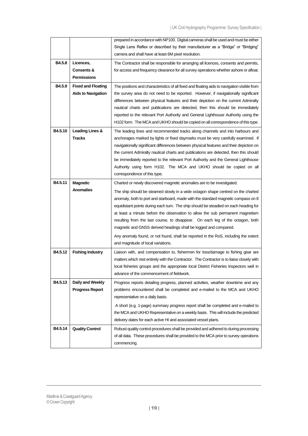|         |                                  | prepared in accordance with NP100. Digital cameras shall be used and must be either                                                                                              |
|---------|----------------------------------|----------------------------------------------------------------------------------------------------------------------------------------------------------------------------------|
|         |                                  | Single Lens Reflex or described by their manufacturer as a "Bridge" or "Bridging"                                                                                                |
|         |                                  | camera and shall have at least 6M pixel resolution.                                                                                                                              |
| B4.5.8  | Licences,                        | The Contractor shall be responsible for arranging all licences, consents and permits,                                                                                            |
|         | Consents &                       | for access and frequency clearance for all survey operations whether ashore or afloat.                                                                                           |
|         | <b>Permissions</b>               |                                                                                                                                                                                  |
| B4.5.9  | <b>Fixed and Floating</b>        | The positions and characteristics of all fixed and floating aids to navigation visible from                                                                                      |
|         | <b>Aids to Navigation</b>        | the survey area do not need to be reported. However, if navigationally significant                                                                                               |
|         |                                  | differences between physical features and their depiction on the current Admiralty                                                                                               |
|         |                                  | nautical charts and publications are detected, then this should be immediately                                                                                                   |
|         |                                  | reported to the relevant Port Authority and General Lighthouse Authority using the                                                                                               |
|         |                                  | H102 form. The MCA and UKHO should be copied on all correspondence of this type.                                                                                                 |
| B4.5.10 |                                  |                                                                                                                                                                                  |
|         | Leading Lines &<br><b>Tracks</b> | The leading lines and recommended tracks along channels and into harbours and<br>anchorages marked by lights or fixed daymarks must be very carefully examined. If               |
|         |                                  |                                                                                                                                                                                  |
|         |                                  | navigationally significant differences between physical features and their depiction on<br>the current Admiralty nautical charts and publications are detected, then this should |
|         |                                  | be immediately reported to the relevant Port Authority and the General Lighthouse                                                                                                |
|         |                                  | Authority using form H102. The MCA and UKHO should be copied on all                                                                                                              |
|         |                                  | correspondence of this type.                                                                                                                                                     |
|         |                                  |                                                                                                                                                                                  |
| B4.5.11 | <b>Magnetic</b>                  | Charted or newly discovered magnetic anomalies are to be investigated.                                                                                                           |
|         | <b>Anomalies</b>                 | The ship should be steamed slowly in a wide octagon shape centred on the charted                                                                                                 |
|         |                                  | anomaly, both to port and starboard, made with the standard magnetic compass on 8                                                                                                |
|         |                                  | equidistant points during each turn. The ship should be steadied on each heading for                                                                                             |
|         |                                  | at least a minute before the observation to allow the sub permanent magnetism                                                                                                    |
|         |                                  | resulting from the last course, to disappear. On each leg of the octagon, both                                                                                                   |
|         |                                  | magnetic and GNSS derived headings shall be logged and compared.                                                                                                                 |
|         |                                  | Any anomaly found, or not found, shall be reported in the RoS, including the extent                                                                                              |
|         |                                  | and magnitude of local variations.                                                                                                                                               |
| B4.5.12 | <b>Fishing Industry</b>          | Liaison with, and compensation to, fishermen for loss/damage to fishing gear are                                                                                                 |
|         |                                  | matters which rest entirely with the Contractor. The Contractor is to liaise closely with                                                                                        |
|         |                                  | local fisheries groups and the appropriate local District Fisheries Inspectors well in                                                                                           |
|         |                                  | advance of the commencement of fieldwork.                                                                                                                                        |
| B4.5.13 | Daily and Weekly                 | Progress reports detailing progress, planned activities, weather downtime and any                                                                                                |
|         | <b>Progress Report</b>           | problems encountered shall be completed and e-mailed to the MCA and UKHO                                                                                                         |
|         |                                  | representative on a daily basis.                                                                                                                                                 |
|         |                                  | A short (e.g. 1-page) summary progress report shall be completed and e-mailed to                                                                                                 |
|         |                                  | the MCA and UKHO Representative on a weekly basis. This will include the predicted                                                                                               |
|         |                                  | delivery dates for each active HI and associated vessel plans.                                                                                                                   |
| B4.5.14 | <b>Quality Control</b>           | Robust quality control procedures shall be provided and adhered to during processing                                                                                             |
|         |                                  | of all data. These procedures shall be provided to the MCA prior to survey operations                                                                                            |
|         |                                  | commencing.                                                                                                                                                                      |
|         |                                  |                                                                                                                                                                                  |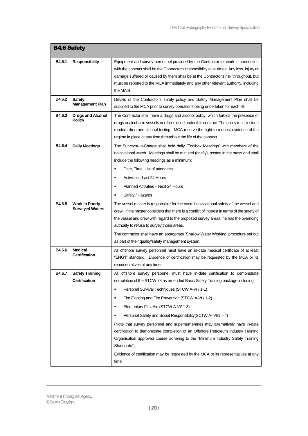<span id="page-19-0"></span>

| <b>B4.6 Safety</b> |                                                 |                                                                                                                                                                                                                                                                                                                                                                                                                                                                                                                                                                                                                                                                                                                                                                                           |
|--------------------|-------------------------------------------------|-------------------------------------------------------------------------------------------------------------------------------------------------------------------------------------------------------------------------------------------------------------------------------------------------------------------------------------------------------------------------------------------------------------------------------------------------------------------------------------------------------------------------------------------------------------------------------------------------------------------------------------------------------------------------------------------------------------------------------------------------------------------------------------------|
| B4.6.1             | <b>Responsibility</b>                           | Equipment and survey personnel provided by the Contractor for work in connection<br>with the contract shall be the Contractor's responsibility at all times. Any loss, injury or<br>damage suffered or caused by them shall be at the Contractor's risk throughout, but<br>must be reported to the MCA immediately and any other relevant authority, including<br>the MAIB.                                                                                                                                                                                                                                                                                                                                                                                                               |
| B4.6.2             | <b>Safety</b><br><b>Management Plan</b>         | Details of the Contractor's safety policy and Safety Management Plan shall be<br>supplied to the MCA prior to survey operations being undertaken for each HI.                                                                                                                                                                                                                                                                                                                                                                                                                                                                                                                                                                                                                             |
| B4.6.3             | <b>Drugs and Alcohol</b><br><b>Policy</b>       | The Contractor shall have a drugs and alcohol policy, which forbids the presence of<br>drugs or alcohol in vessels or offices used under this contract. The policy must include<br>random drug and alcohol testing. MCA reserve the right to request evidence of the<br>regime in place at any time throughout the life of the contract.                                                                                                                                                                                                                                                                                                                                                                                                                                                  |
| B4.6.4             | <b>Daily Meetings</b>                           | The Surveyor-In-Charge shall hold daily "Toolbox Meetings" with members of the<br>navigational watch. Meetings shall be minuted (briefly), posted in the mess and shall<br>include the following headings as a minimum:<br>Date, Time, List of attendees<br>٠<br>Activities - Last 24 Hours<br>Planned Activities - Next 24 Hours<br>Safety / Hazards                                                                                                                                                                                                                                                                                                                                                                                                                                     |
| B4.6.5             | <b>Work in Poorly</b><br><b>Surveyed Waters</b> | The vessel master is responsible for the overall navigational safety of the vessel and<br>crew. If the master considers that there is a conflict of interest in terms of the safety of<br>the vessel and crew with regard to the proposed survey areas, he has the overriding<br>authority to refuse to survey those areas.<br>The contractor shall have an appropriate 'Shallow Water Working' procedure set out<br>as part of their quality/safety management system.                                                                                                                                                                                                                                                                                                                   |
| B4.6.6             | <b>Medical</b><br><b>Certification</b>          | All offshore survey personnel must have an in-date medical certificate of at least<br>"ENG1" standard. Evidence of certification may be requested by the MCA or its<br>representatives at any time.                                                                                                                                                                                                                                                                                                                                                                                                                                                                                                                                                                                       |
| B4.6.7             | <b>Safety Training</b><br><b>Certification</b>  | All offshore survey personnel must have in-date certification to demonstrate<br>completion of the STCW 78 as amended Basic Safety Training package including:<br>Personal Survival Techniques (STCW A-VI / 1-1)<br>٠<br>Fire Fighting and Fire Prevention (STCW A-VI / 1-2)<br>в<br>Elementary First Aid (STCW A-VI/ 1-3)<br>$\blacksquare$<br>Personal Safety and Social Responsibility (SCTW A-VI/1 - 4)<br>٠<br>(Note that survey personnel and supernumeraries may alternatively have in-date<br>certification to demonstrate completion of an Offshore Petroleum Industry Training<br>Organisation approved course adhering to the "Minimum Industry Safety Training<br>Standards").<br>Evidence of certification may be requested by the MCA or its representatives at any<br>time. |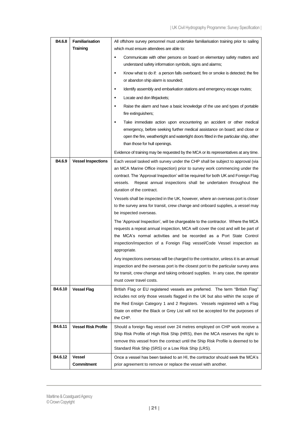| B4.6.8  | Familiarisation            | All offshore survey personnel must undertake familiarisation training prior to sailing                                                                                                                                                                                                                                                                     |
|---------|----------------------------|------------------------------------------------------------------------------------------------------------------------------------------------------------------------------------------------------------------------------------------------------------------------------------------------------------------------------------------------------------|
|         | <b>Training</b>            | which must ensure attendees are able to:                                                                                                                                                                                                                                                                                                                   |
|         |                            | Communicate with other persons on board on elementary safety matters and<br>٠<br>understand safety information symbols, signs and alarms;                                                                                                                                                                                                                  |
|         |                            | Know what to do if: a person falls overboard; fire or smoke is detected; the fire<br>٠<br>or abandon ship alarm is sounded;                                                                                                                                                                                                                                |
|         |                            | Identify assembly and embarkation stations and emergency escape routes;<br>٠                                                                                                                                                                                                                                                                               |
|         |                            | Locate and don lifejackets;<br>٠                                                                                                                                                                                                                                                                                                                           |
|         |                            | Raise the alarm and have a basic knowledge of the use and types of portable<br>$\blacksquare$<br>fire extinguishers;                                                                                                                                                                                                                                       |
|         |                            | Take immediate action upon encountering an accident or other medical<br>٠<br>emergency, before seeking further medical assistance on board; and close or<br>open the fire, weathertight and watertight doors fitted in the particular ship, other<br>than those for hull openings.                                                                         |
|         |                            | Evidence of training may be requested by the MCA or its representatives at any time.                                                                                                                                                                                                                                                                       |
| B4.6.9  | <b>Vessel Inspections</b>  | Each vessel tasked with survey under the CHP shall be subject to approval (via<br>an MCA Marine Office inspection) prior to survey work commencing under the<br>contract. The 'Approval Inspection' will be required for both UK and Foreign Flag<br>Repeat annual inspections shall be undertaken throughout the<br>vessels.<br>duration of the contract. |
|         |                            | Vessels shall be inspected in the UK, however, where an overseas port is closer<br>to the survey area for transit, crew change and onboard supplies, a vessel may<br>be inspected overseas.                                                                                                                                                                |
|         |                            | The 'Approval Inspection', will be chargeable to the contractor. Where the MCA<br>requests a repeat annual inspection, MCA will cover the cost and will be part of<br>the MCA's normal activities and be recorded as a Port State Control<br>inspection/inspection of a Foreign Flag vessel/Code Vessel inspection as<br>appropriate.                      |
|         |                            | Any inspections overseas will be charged to the contractor, unless it is an annual<br>inspection and the overseas port is the closest port to the particular survey area<br>for transit, crew change and taking onboard supplies. In any case, the operator<br>must cover travel costs.                                                                    |
| B4.6.10 | <b>Vessel Flag</b>         | British Flag or EU registered vessels are preferred. The term "British Flag"<br>includes not only those vessels flagged in the UK but also within the scope of<br>the Red Ensign Category 1 and 2 Registers. Vessels registered with a Flag<br>State on either the Black or Grey List will not be accepted for the purposes of<br>the CHP.                 |
| B4.6.11 | <b>Vessel Risk Profile</b> | Should a foreign flag vessel over 24 metres employed on CHP work receive a<br>Ship Risk Profile of High Risk Ship (HRS), then the MCA reserves the right to<br>remove this vessel from the contract until the Ship Risk Profile is deemed to be<br>Standard Risk Ship (SRS) or a Low Risk Ship (LRS).                                                      |
| B4.6.12 | <b>Vessel</b>              | Once a vessel has been tasked to an HI, the contractor should seek the MCA's                                                                                                                                                                                                                                                                               |
|         | Commitment                 | prior agreement to remove or replace the vessel with another.                                                                                                                                                                                                                                                                                              |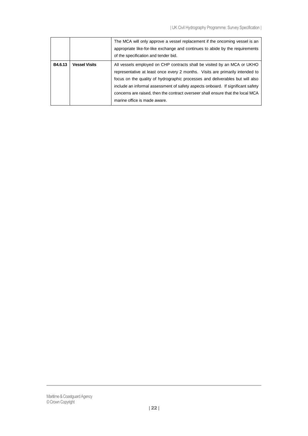|         |                      | The MCA will only approve a vessel replacement if the oncoming vessel is an<br>appropriate like-for-like exchange and continues to abide by the requirements<br>of the specification and tender bid.                                                                                                                                                                                                                                             |
|---------|----------------------|--------------------------------------------------------------------------------------------------------------------------------------------------------------------------------------------------------------------------------------------------------------------------------------------------------------------------------------------------------------------------------------------------------------------------------------------------|
| B4.6.13 | <b>Vessel Visits</b> | All vessels employed on CHP contracts shall be visited by an MCA or UKHO<br>representative at least once every 2 months. Visits are primarily intended to<br>focus on the quality of hydrographic processes and deliverables but will also<br>include an informal assessment of safety aspects onboard. If significant safety<br>concerns are raised, then the contract overseer shall ensure that the local MCA<br>marine office is made aware. |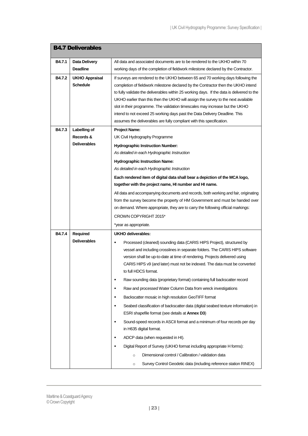<span id="page-22-0"></span>

|        | <b>B4.7 Deliverables</b>                 |                                                                                                                                                                                                                                                                                                                                                                                                                                                                                                                                                                                                 |  |
|--------|------------------------------------------|-------------------------------------------------------------------------------------------------------------------------------------------------------------------------------------------------------------------------------------------------------------------------------------------------------------------------------------------------------------------------------------------------------------------------------------------------------------------------------------------------------------------------------------------------------------------------------------------------|--|
| B4.7.1 | Data Delivery                            | All data and associated documents are to be rendered to the UKHO within 70                                                                                                                                                                                                                                                                                                                                                                                                                                                                                                                      |  |
|        | <b>Deadline</b>                          | working days of the completion of fieldwork milestone declared by the Contractor.                                                                                                                                                                                                                                                                                                                                                                                                                                                                                                               |  |
| B4.7.2 | <b>UKHO Appraisal</b><br><b>Schedule</b> | If surveys are rendered to the UKHO between 65 and 70 working days following the<br>completion of fieldwork milestone declared by the Contractor then the UKHO intend<br>to fully validate the deliverables within 25 working days. If the data is delivered to the<br>UKHO earlier than this then the UKHO will assign the survey to the next available<br>slot in their programme. The validation timescales may increase but the UKHO<br>intend to not exceed 25 working days past the Data Delivery Deadline. This<br>assumes the deliverables are fully compliant with this specification. |  |
| B4.7.3 | Labelling of                             | <b>Project Name:</b>                                                                                                                                                                                                                                                                                                                                                                                                                                                                                                                                                                            |  |
|        | Records &                                | UK Civil Hydrography Programme                                                                                                                                                                                                                                                                                                                                                                                                                                                                                                                                                                  |  |
|        | <b>Deliverables</b>                      | <b>Hydrographic Instruction Number:</b>                                                                                                                                                                                                                                                                                                                                                                                                                                                                                                                                                         |  |
|        |                                          | As detailed in each Hydrographic Instruction                                                                                                                                                                                                                                                                                                                                                                                                                                                                                                                                                    |  |
|        |                                          | <b>Hydrographic Instruction Name:</b>                                                                                                                                                                                                                                                                                                                                                                                                                                                                                                                                                           |  |
|        |                                          | As detailed in each Hydrographic Instruction                                                                                                                                                                                                                                                                                                                                                                                                                                                                                                                                                    |  |
|        |                                          | Each rendered item of digital data shall bear a depiction of the MCA logo,                                                                                                                                                                                                                                                                                                                                                                                                                                                                                                                      |  |
|        |                                          | together with the project name, HI number and HI name.                                                                                                                                                                                                                                                                                                                                                                                                                                                                                                                                          |  |
|        |                                          | All data and accompanying documents and records, both working and fair, originating                                                                                                                                                                                                                                                                                                                                                                                                                                                                                                             |  |
|        |                                          | from the survey become the property of HM Government and must be handed over                                                                                                                                                                                                                                                                                                                                                                                                                                                                                                                    |  |
|        |                                          | on demand. Where appropriate, they are to carry the following official markings:                                                                                                                                                                                                                                                                                                                                                                                                                                                                                                                |  |
|        |                                          | CROWN COPYRIGHT 2015*                                                                                                                                                                                                                                                                                                                                                                                                                                                                                                                                                                           |  |
|        |                                          | *year as appropriate.                                                                                                                                                                                                                                                                                                                                                                                                                                                                                                                                                                           |  |
| B4.7.4 | Required                                 | UKHO deliverables:                                                                                                                                                                                                                                                                                                                                                                                                                                                                                                                                                                              |  |
|        | <b>Deliverables</b>                      | Processed (cleaned) sounding data (CARIS HIPS Project), structured by<br>Е<br>vessel and including crosslines in separate folders. The CARIS HIPS software<br>version shall be up-to-date at time of rendering. Projects delivered using<br>CARIS HIPS v9 (and later) must not be indexed. The data must be converted<br>to full HDCS format.                                                                                                                                                                                                                                                   |  |
|        |                                          | Raw sounding data (proprietary format) containing full backscatter record<br>Е                                                                                                                                                                                                                                                                                                                                                                                                                                                                                                                  |  |
|        |                                          | Raw and processed Water Column Data from wreck investigations<br>Е                                                                                                                                                                                                                                                                                                                                                                                                                                                                                                                              |  |
|        |                                          | Backscatter mosaic in high resolution GeoTIFF format<br>Е                                                                                                                                                                                                                                                                                                                                                                                                                                                                                                                                       |  |
|        |                                          | Seabed classification of backscatter data (digital seabed texture information) in<br>п<br>ESRI shapefile format (see details at <b>Annex D3)</b>                                                                                                                                                                                                                                                                                                                                                                                                                                                |  |
|        |                                          | Sound-speed records in ASCII format and a minimum of four records per day<br>in H635 digital format.                                                                                                                                                                                                                                                                                                                                                                                                                                                                                            |  |
|        |                                          | ADCP data (when requested in HI).                                                                                                                                                                                                                                                                                                                                                                                                                                                                                                                                                               |  |
|        |                                          | Digital Report of Survey (UKHO format including appropriate H forms):                                                                                                                                                                                                                                                                                                                                                                                                                                                                                                                           |  |
|        |                                          | Dimensional control / Calibration / validation data<br>$\circ$                                                                                                                                                                                                                                                                                                                                                                                                                                                                                                                                  |  |
|        |                                          | Survey Control Geodetic data (including reference station RINEX)<br>$\circ$                                                                                                                                                                                                                                                                                                                                                                                                                                                                                                                     |  |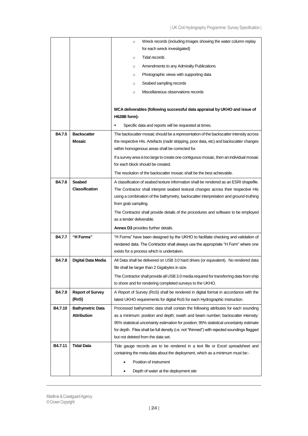| Wreck records (including Images showing the water column replay<br>$\circ$<br>for each wreck investigated)<br><b>Tidal records</b><br>$\circ$<br>Amendments to any Admiralty Publications<br>$\circ$<br>Photographic views with supporting data<br>$\circ$<br>Seabed sampling records<br>$\circ$<br>Miscellaneous observations records<br>$\circ$<br>MCA deliverables (following successful data appraisal by UKHO and issue of<br>H628B form):<br>Specific data and reports will be requested at times.<br>٠<br><b>B4.7.5</b><br><b>Backscatter</b><br>The backscatter mosaic should be a representation of the backscatter intensity across<br><b>Mosaic</b><br>the respective HIs. Artefacts (nadir stripping, poor data, etc) and backscatter changes<br>within homogenous areas shall be corrected for.<br>If a survey area is too large to create one contiguous mosaic, then an individual mosaic<br>for each block should be created.<br>The resolution of the backscatter mosaic shall be the best achievable.<br>Seabed<br>B4.7.6<br>A classification of seabed texture information shall be rendered as an ESRI shapefile.<br><b>Classification</b><br>The Contractor shall interpret seabed textural changes across their respective HIs<br>using a combination of the bathymetry, backscatter interpretation and ground-truthing<br>from grab sampling.<br>The Contractor shall provide details of the procedures and software to be employed<br>as a tender deliverable.<br><b>Annex D3</b> provides further details.<br>"H Forms"<br><b>B4.7.7</b><br>"H Forms" have been designed by the UKHO to facilitate checking and validation of<br>rendered data. The Contractor shall always use the appropriate "H Form" where one<br>exists for a process which is undertaken.<br>B4.7.8<br><b>Digital Data Media</b><br>All Data shall be delivered on USB 3.0 hard drives (or equivalent). No rendered data<br>file shall be larger than 2 Gigabytes in size.<br>The Contractor shall provide all USB 3.0 media required for transferring data from ship<br>to shore and for rendering completed surveys to the UKHO. |
|-----------------------------------------------------------------------------------------------------------------------------------------------------------------------------------------------------------------------------------------------------------------------------------------------------------------------------------------------------------------------------------------------------------------------------------------------------------------------------------------------------------------------------------------------------------------------------------------------------------------------------------------------------------------------------------------------------------------------------------------------------------------------------------------------------------------------------------------------------------------------------------------------------------------------------------------------------------------------------------------------------------------------------------------------------------------------------------------------------------------------------------------------------------------------------------------------------------------------------------------------------------------------------------------------------------------------------------------------------------------------------------------------------------------------------------------------------------------------------------------------------------------------------------------------------------------------------------------------------------------------------------------------------------------------------------------------------------------------------------------------------------------------------------------------------------------------------------------------------------------------------------------------------------------------------------------------------------------------------------------------------------------------------------------------------------------------------------------------------------------------------------|
|                                                                                                                                                                                                                                                                                                                                                                                                                                                                                                                                                                                                                                                                                                                                                                                                                                                                                                                                                                                                                                                                                                                                                                                                                                                                                                                                                                                                                                                                                                                                                                                                                                                                                                                                                                                                                                                                                                                                                                                                                                                                                                                                   |
|                                                                                                                                                                                                                                                                                                                                                                                                                                                                                                                                                                                                                                                                                                                                                                                                                                                                                                                                                                                                                                                                                                                                                                                                                                                                                                                                                                                                                                                                                                                                                                                                                                                                                                                                                                                                                                                                                                                                                                                                                                                                                                                                   |
|                                                                                                                                                                                                                                                                                                                                                                                                                                                                                                                                                                                                                                                                                                                                                                                                                                                                                                                                                                                                                                                                                                                                                                                                                                                                                                                                                                                                                                                                                                                                                                                                                                                                                                                                                                                                                                                                                                                                                                                                                                                                                                                                   |
|                                                                                                                                                                                                                                                                                                                                                                                                                                                                                                                                                                                                                                                                                                                                                                                                                                                                                                                                                                                                                                                                                                                                                                                                                                                                                                                                                                                                                                                                                                                                                                                                                                                                                                                                                                                                                                                                                                                                                                                                                                                                                                                                   |
|                                                                                                                                                                                                                                                                                                                                                                                                                                                                                                                                                                                                                                                                                                                                                                                                                                                                                                                                                                                                                                                                                                                                                                                                                                                                                                                                                                                                                                                                                                                                                                                                                                                                                                                                                                                                                                                                                                                                                                                                                                                                                                                                   |
|                                                                                                                                                                                                                                                                                                                                                                                                                                                                                                                                                                                                                                                                                                                                                                                                                                                                                                                                                                                                                                                                                                                                                                                                                                                                                                                                                                                                                                                                                                                                                                                                                                                                                                                                                                                                                                                                                                                                                                                                                                                                                                                                   |
|                                                                                                                                                                                                                                                                                                                                                                                                                                                                                                                                                                                                                                                                                                                                                                                                                                                                                                                                                                                                                                                                                                                                                                                                                                                                                                                                                                                                                                                                                                                                                                                                                                                                                                                                                                                                                                                                                                                                                                                                                                                                                                                                   |
|                                                                                                                                                                                                                                                                                                                                                                                                                                                                                                                                                                                                                                                                                                                                                                                                                                                                                                                                                                                                                                                                                                                                                                                                                                                                                                                                                                                                                                                                                                                                                                                                                                                                                                                                                                                                                                                                                                                                                                                                                                                                                                                                   |
|                                                                                                                                                                                                                                                                                                                                                                                                                                                                                                                                                                                                                                                                                                                                                                                                                                                                                                                                                                                                                                                                                                                                                                                                                                                                                                                                                                                                                                                                                                                                                                                                                                                                                                                                                                                                                                                                                                                                                                                                                                                                                                                                   |
|                                                                                                                                                                                                                                                                                                                                                                                                                                                                                                                                                                                                                                                                                                                                                                                                                                                                                                                                                                                                                                                                                                                                                                                                                                                                                                                                                                                                                                                                                                                                                                                                                                                                                                                                                                                                                                                                                                                                                                                                                                                                                                                                   |
|                                                                                                                                                                                                                                                                                                                                                                                                                                                                                                                                                                                                                                                                                                                                                                                                                                                                                                                                                                                                                                                                                                                                                                                                                                                                                                                                                                                                                                                                                                                                                                                                                                                                                                                                                                                                                                                                                                                                                                                                                                                                                                                                   |
|                                                                                                                                                                                                                                                                                                                                                                                                                                                                                                                                                                                                                                                                                                                                                                                                                                                                                                                                                                                                                                                                                                                                                                                                                                                                                                                                                                                                                                                                                                                                                                                                                                                                                                                                                                                                                                                                                                                                                                                                                                                                                                                                   |
|                                                                                                                                                                                                                                                                                                                                                                                                                                                                                                                                                                                                                                                                                                                                                                                                                                                                                                                                                                                                                                                                                                                                                                                                                                                                                                                                                                                                                                                                                                                                                                                                                                                                                                                                                                                                                                                                                                                                                                                                                                                                                                                                   |
|                                                                                                                                                                                                                                                                                                                                                                                                                                                                                                                                                                                                                                                                                                                                                                                                                                                                                                                                                                                                                                                                                                                                                                                                                                                                                                                                                                                                                                                                                                                                                                                                                                                                                                                                                                                                                                                                                                                                                                                                                                                                                                                                   |
|                                                                                                                                                                                                                                                                                                                                                                                                                                                                                                                                                                                                                                                                                                                                                                                                                                                                                                                                                                                                                                                                                                                                                                                                                                                                                                                                                                                                                                                                                                                                                                                                                                                                                                                                                                                                                                                                                                                                                                                                                                                                                                                                   |
|                                                                                                                                                                                                                                                                                                                                                                                                                                                                                                                                                                                                                                                                                                                                                                                                                                                                                                                                                                                                                                                                                                                                                                                                                                                                                                                                                                                                                                                                                                                                                                                                                                                                                                                                                                                                                                                                                                                                                                                                                                                                                                                                   |
|                                                                                                                                                                                                                                                                                                                                                                                                                                                                                                                                                                                                                                                                                                                                                                                                                                                                                                                                                                                                                                                                                                                                                                                                                                                                                                                                                                                                                                                                                                                                                                                                                                                                                                                                                                                                                                                                                                                                                                                                                                                                                                                                   |
|                                                                                                                                                                                                                                                                                                                                                                                                                                                                                                                                                                                                                                                                                                                                                                                                                                                                                                                                                                                                                                                                                                                                                                                                                                                                                                                                                                                                                                                                                                                                                                                                                                                                                                                                                                                                                                                                                                                                                                                                                                                                                                                                   |
|                                                                                                                                                                                                                                                                                                                                                                                                                                                                                                                                                                                                                                                                                                                                                                                                                                                                                                                                                                                                                                                                                                                                                                                                                                                                                                                                                                                                                                                                                                                                                                                                                                                                                                                                                                                                                                                                                                                                                                                                                                                                                                                                   |
|                                                                                                                                                                                                                                                                                                                                                                                                                                                                                                                                                                                                                                                                                                                                                                                                                                                                                                                                                                                                                                                                                                                                                                                                                                                                                                                                                                                                                                                                                                                                                                                                                                                                                                                                                                                                                                                                                                                                                                                                                                                                                                                                   |
|                                                                                                                                                                                                                                                                                                                                                                                                                                                                                                                                                                                                                                                                                                                                                                                                                                                                                                                                                                                                                                                                                                                                                                                                                                                                                                                                                                                                                                                                                                                                                                                                                                                                                                                                                                                                                                                                                                                                                                                                                                                                                                                                   |
|                                                                                                                                                                                                                                                                                                                                                                                                                                                                                                                                                                                                                                                                                                                                                                                                                                                                                                                                                                                                                                                                                                                                                                                                                                                                                                                                                                                                                                                                                                                                                                                                                                                                                                                                                                                                                                                                                                                                                                                                                                                                                                                                   |
|                                                                                                                                                                                                                                                                                                                                                                                                                                                                                                                                                                                                                                                                                                                                                                                                                                                                                                                                                                                                                                                                                                                                                                                                                                                                                                                                                                                                                                                                                                                                                                                                                                                                                                                                                                                                                                                                                                                                                                                                                                                                                                                                   |
|                                                                                                                                                                                                                                                                                                                                                                                                                                                                                                                                                                                                                                                                                                                                                                                                                                                                                                                                                                                                                                                                                                                                                                                                                                                                                                                                                                                                                                                                                                                                                                                                                                                                                                                                                                                                                                                                                                                                                                                                                                                                                                                                   |
|                                                                                                                                                                                                                                                                                                                                                                                                                                                                                                                                                                                                                                                                                                                                                                                                                                                                                                                                                                                                                                                                                                                                                                                                                                                                                                                                                                                                                                                                                                                                                                                                                                                                                                                                                                                                                                                                                                                                                                                                                                                                                                                                   |
|                                                                                                                                                                                                                                                                                                                                                                                                                                                                                                                                                                                                                                                                                                                                                                                                                                                                                                                                                                                                                                                                                                                                                                                                                                                                                                                                                                                                                                                                                                                                                                                                                                                                                                                                                                                                                                                                                                                                                                                                                                                                                                                                   |
|                                                                                                                                                                                                                                                                                                                                                                                                                                                                                                                                                                                                                                                                                                                                                                                                                                                                                                                                                                                                                                                                                                                                                                                                                                                                                                                                                                                                                                                                                                                                                                                                                                                                                                                                                                                                                                                                                                                                                                                                                                                                                                                                   |
|                                                                                                                                                                                                                                                                                                                                                                                                                                                                                                                                                                                                                                                                                                                                                                                                                                                                                                                                                                                                                                                                                                                                                                                                                                                                                                                                                                                                                                                                                                                                                                                                                                                                                                                                                                                                                                                                                                                                                                                                                                                                                                                                   |
|                                                                                                                                                                                                                                                                                                                                                                                                                                                                                                                                                                                                                                                                                                                                                                                                                                                                                                                                                                                                                                                                                                                                                                                                                                                                                                                                                                                                                                                                                                                                                                                                                                                                                                                                                                                                                                                                                                                                                                                                                                                                                                                                   |
|                                                                                                                                                                                                                                                                                                                                                                                                                                                                                                                                                                                                                                                                                                                                                                                                                                                                                                                                                                                                                                                                                                                                                                                                                                                                                                                                                                                                                                                                                                                                                                                                                                                                                                                                                                                                                                                                                                                                                                                                                                                                                                                                   |
|                                                                                                                                                                                                                                                                                                                                                                                                                                                                                                                                                                                                                                                                                                                                                                                                                                                                                                                                                                                                                                                                                                                                                                                                                                                                                                                                                                                                                                                                                                                                                                                                                                                                                                                                                                                                                                                                                                                                                                                                                                                                                                                                   |
| B4.7.9<br><b>Report of Survey</b><br>A Report of Survey (RoS) shall be rendered in digital format in accordance with the<br>(RoS)<br>latest UKHO requirements for digital RoS for each Hydrographic Instruction.                                                                                                                                                                                                                                                                                                                                                                                                                                                                                                                                                                                                                                                                                                                                                                                                                                                                                                                                                                                                                                                                                                                                                                                                                                                                                                                                                                                                                                                                                                                                                                                                                                                                                                                                                                                                                                                                                                                  |
| B4.7.10                                                                                                                                                                                                                                                                                                                                                                                                                                                                                                                                                                                                                                                                                                                                                                                                                                                                                                                                                                                                                                                                                                                                                                                                                                                                                                                                                                                                                                                                                                                                                                                                                                                                                                                                                                                                                                                                                                                                                                                                                                                                                                                           |
| <b>Bathymetric Data</b><br>Processed bathymetric data shall contain the following attributes for each sounding<br><b>Attribution</b><br>as a minimum: position and depth; swath and beam number; backscatter intensity;                                                                                                                                                                                                                                                                                                                                                                                                                                                                                                                                                                                                                                                                                                                                                                                                                                                                                                                                                                                                                                                                                                                                                                                                                                                                                                                                                                                                                                                                                                                                                                                                                                                                                                                                                                                                                                                                                                           |
| 95% statistical uncertainty estimation for position; 95% statistical uncertainty estimate                                                                                                                                                                                                                                                                                                                                                                                                                                                                                                                                                                                                                                                                                                                                                                                                                                                                                                                                                                                                                                                                                                                                                                                                                                                                                                                                                                                                                                                                                                                                                                                                                                                                                                                                                                                                                                                                                                                                                                                                                                         |
| for depth. Files shall be full density (i.e. not "thinned") with rejected soundings flagged                                                                                                                                                                                                                                                                                                                                                                                                                                                                                                                                                                                                                                                                                                                                                                                                                                                                                                                                                                                                                                                                                                                                                                                                                                                                                                                                                                                                                                                                                                                                                                                                                                                                                                                                                                                                                                                                                                                                                                                                                                       |
| but not deleted from the data set.                                                                                                                                                                                                                                                                                                                                                                                                                                                                                                                                                                                                                                                                                                                                                                                                                                                                                                                                                                                                                                                                                                                                                                                                                                                                                                                                                                                                                                                                                                                                                                                                                                                                                                                                                                                                                                                                                                                                                                                                                                                                                                |
| <b>Tidal Data</b><br>B4.7.11<br>Tide gauge records are to be rendered in a text file or Excel spreadsheet and                                                                                                                                                                                                                                                                                                                                                                                                                                                                                                                                                                                                                                                                                                                                                                                                                                                                                                                                                                                                                                                                                                                                                                                                                                                                                                                                                                                                                                                                                                                                                                                                                                                                                                                                                                                                                                                                                                                                                                                                                     |
| containing the meta-data about the deployment, which as a minimum must be:-                                                                                                                                                                                                                                                                                                                                                                                                                                                                                                                                                                                                                                                                                                                                                                                                                                                                                                                                                                                                                                                                                                                                                                                                                                                                                                                                                                                                                                                                                                                                                                                                                                                                                                                                                                                                                                                                                                                                                                                                                                                       |
| Position of instrument                                                                                                                                                                                                                                                                                                                                                                                                                                                                                                                                                                                                                                                                                                                                                                                                                                                                                                                                                                                                                                                                                                                                                                                                                                                                                                                                                                                                                                                                                                                                                                                                                                                                                                                                                                                                                                                                                                                                                                                                                                                                                                            |
|                                                                                                                                                                                                                                                                                                                                                                                                                                                                                                                                                                                                                                                                                                                                                                                                                                                                                                                                                                                                                                                                                                                                                                                                                                                                                                                                                                                                                                                                                                                                                                                                                                                                                                                                                                                                                                                                                                                                                                                                                                                                                                                                   |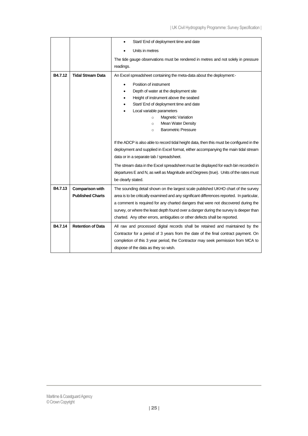|                          | Start/ End of deployment time and date<br>٠                                                                                                                         |
|--------------------------|---------------------------------------------------------------------------------------------------------------------------------------------------------------------|
|                          | Units in metres                                                                                                                                                     |
|                          | The tide gauge observations must be rendered in metres and not solely in pressure                                                                                   |
|                          | readings.                                                                                                                                                           |
| <b>Tidal Stream Data</b> | An Excel spreadsheet containing the meta-data about the deployment:-                                                                                                |
|                          | Position of instrument<br>$\bullet$                                                                                                                                 |
|                          | Depth of water at the deployment site                                                                                                                               |
|                          | Height of instrument above the seabed                                                                                                                               |
|                          | Start/ End of deployment time and date                                                                                                                              |
|                          | Local variable parameters                                                                                                                                           |
|                          | <b>Magnetic Variation</b><br>$\circ$                                                                                                                                |
|                          | <b>Mean Water Density</b><br>$\circ$                                                                                                                                |
|                          | <b>Barometric Pressure</b><br>$\circ$                                                                                                                               |
|                          | If the ADCP is also able to record tidal height data, then this must be configured in the                                                                           |
|                          | deployment and supplied in Excel format, either accompanying the main tidal stream                                                                                  |
|                          | data or in a separate tab / spreadsheet.                                                                                                                            |
|                          | The stream data in the Excel spreadsheet must be displayed for each bin recorded in                                                                                 |
|                          | departures E and N, as well as Magnitude and Degrees (true). Units of the rates must                                                                                |
|                          | be clearly stated.                                                                                                                                                  |
| <b>Comparison with</b>   | The sounding detail shown on the largest scale published UKHO chart of the survey                                                                                   |
|                          |                                                                                                                                                                     |
| <b>Published Charts</b>  | area is to be critically examined and any significant differences reported. In particular,                                                                          |
|                          | a comment is required for any charted dangers that were not discovered during the                                                                                   |
|                          |                                                                                                                                                                     |
|                          | survey, or where the least depth found over a danger during the survey is deeper than<br>charted. Any other errors, ambiguities or other defects shall be reported. |
| <b>Retention of Data</b> | All raw and processed digital records shall be retained and maintained by the                                                                                       |
|                          | Contractor for a period of 3 years from the date of the final contract payment. On                                                                                  |
|                          | completion of this 3 year period, the Contractor may seek permission from MCA to                                                                                    |
|                          |                                                                                                                                                                     |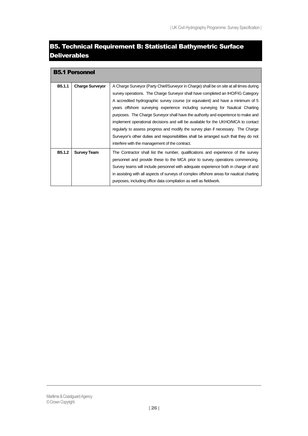# <span id="page-25-0"></span>B5. Technical Requirement B: Statistical Bathymetric Surface Deliverables

<span id="page-25-1"></span>

|        | <b>B5.1 Personnel</b>  |                                                                                                                                                                                                                                                                                                                                                                                                                                                                                                                                                                                                                                                                                                                                                        |
|--------|------------------------|--------------------------------------------------------------------------------------------------------------------------------------------------------------------------------------------------------------------------------------------------------------------------------------------------------------------------------------------------------------------------------------------------------------------------------------------------------------------------------------------------------------------------------------------------------------------------------------------------------------------------------------------------------------------------------------------------------------------------------------------------------|
| B5.1.1 | <b>Charge Surveyor</b> | A Charge Surveyor (Party Chief/Surveyor in Charge) shall be on site at all times during<br>survey operations. The Charge Surveyor shall have completed an IHO/FIG Category<br>A accredited hydrographic survey course (or equivalent) and have a minimum of 5<br>years offshore surveying experience including surveying for Nautical Charting<br>purposes. The Charge Surveyor shall have the authority and experience to make and<br>implement operational decisions and will be available for the UKHO/MCA to contact<br>regularly to assess progress and modify the survey plan if necessary. The Charge<br>Surveyor's other duties and responsibilities shall be arranged such that they do not<br>interfere with the management of the contract. |
| B5.1.2 | <b>Survey Team</b>     | The Contractor shall list the number, qualifications and experience of the survey<br>personnel and provide these to the MCA prior to survey operations commencing.<br>Survey teams will include personnel with adequate experience both in charge of and<br>in assisting with all aspects of surveys of complex offshore areas for nautical charting<br>purposes, including office data compilation as well as fieldwork.                                                                                                                                                                                                                                                                                                                              |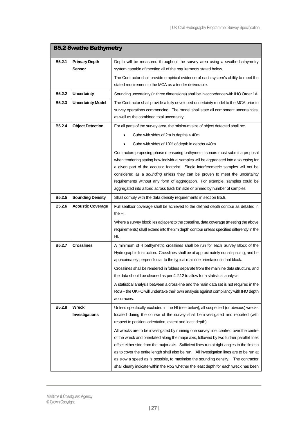<span id="page-26-0"></span>

| <b>B5.2 Swathe Bathymetry</b> |                          |                                                                                                                                                                           |
|-------------------------------|--------------------------|---------------------------------------------------------------------------------------------------------------------------------------------------------------------------|
| B <sub>5</sub> .2.1           | <b>Primary Depth</b>     | Depth will be measured throughout the survey area using a swathe bathymetry                                                                                               |
|                               | Sensor                   | system capable of meeting all of the requirements stated below.                                                                                                           |
|                               |                          | The Contractor shall provide empirical evidence of each system's ability to meet the                                                                                      |
|                               |                          | stated requirement to the MCA as a tender deliverable.                                                                                                                    |
| B5.2.2                        | <b>Uncertainty</b>       | Sounding uncertainty (in three dimensions) shall be in accordance with IHO Order 1A.                                                                                      |
| B5.2.3                        | <b>Uncertainty Model</b> | The Contractor shall provide a fully developed uncertainty model to the MCA prior to                                                                                      |
|                               |                          | survey operations commencing. The model shall state all component uncertainties,                                                                                          |
|                               |                          | as well as the combined total uncertainty.                                                                                                                                |
| B5.2.4                        | <b>Object Detection</b>  | For all parts of the survey area, the minimum size of object detected shall be:                                                                                           |
|                               |                          | Cube with sides of 2m in depths < 40m                                                                                                                                     |
|                               |                          | Cube with sides of 10% of depth in depths >40m                                                                                                                            |
|                               |                          | Contractors proposing phase measuring bathymetric sonars must submit a proposal                                                                                           |
|                               |                          | when tendering stating how individual samples will be aggregated into a sounding for                                                                                      |
|                               |                          | a given part of the acoustic footprint. Single interferometric samples will not be                                                                                        |
|                               |                          | considered as a sounding unless they can be proven to meet the uncertainty<br>requirements without any form of aggregation. For example, samples could be                 |
|                               |                          | aggregated into a fixed across track bin size or binned by number of samples.                                                                                             |
| <b>B5.2.5</b>                 | <b>Sounding Density</b>  | Shall comply with the data density requirements in section B5.9.                                                                                                          |
| B5.2.6                        | <b>Acoustic Coverage</b> | Full seafloor coverage shall be achieved to the defined depth contour as detailed in                                                                                      |
|                               |                          | the HI.                                                                                                                                                                   |
|                               |                          | Where a survey block lies adjacent to the coastline, data coverage (meeting the above                                                                                     |
|                               |                          | requirements) shall extend into the 2m depth contour unless specified differently in the                                                                                  |
|                               |                          | HI.                                                                                                                                                                       |
| B5.2.7                        | <b>Crosslines</b>        | A minimum of 4 bathymetric crosslines shall be run for each Survey Block of the                                                                                           |
|                               |                          | Hydrographic Instruction. Crosslines shall be at approximately equal spacing, and be                                                                                      |
|                               |                          | approximately perpendicular to the typical mainline orientation in that block.                                                                                            |
|                               |                          | Crosslines shall be rendered in folders separate from the mainline data structure, and<br>the data should be cleaned as per 4.2.12 to allow for a statistical analysis.   |
|                               |                          | A statistical analysis between a cross-line and the main data set is not required in the                                                                                  |
|                               |                          | RoS – the UKHO will undertake their own analysis against compliancy with IHO depth                                                                                        |
|                               |                          | accuracies.                                                                                                                                                               |
| <b>B5.2.8</b>                 | Wreck                    | Unless specifically excluded in the HI (see below), all suspected (or obvious) wrecks                                                                                     |
|                               | Investigations           | located during the course of the survey shall be investigated and reported (with                                                                                          |
|                               |                          | respect to position, orientation, extent and least depth).                                                                                                                |
|                               |                          | All wrecks are to be investigated by running one survey line, centred over the centre                                                                                     |
|                               |                          | of the wreck and orientated along the major axis, followed by two further parallel lines                                                                                  |
|                               |                          | offset either side from the major axis. Sufficient lines run at right angles to the first so                                                                              |
|                               |                          | as to cover the entire length shall also be run. All investigation lines are to be run at                                                                                 |
|                               |                          | as slow a speed as is possible, to maximise the sounding density. The contractor<br>shall clearly indicate within the RoS whether the least depth for each wreck has been |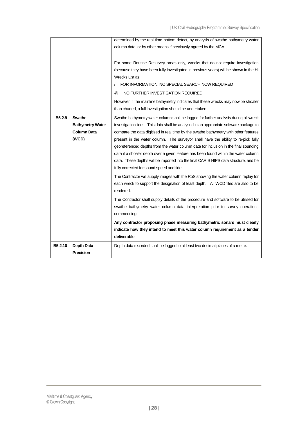| B5.2.10            | Depth Data<br><b>Precision</b>                                   | Depth data recorded shall be logged to at least two decimal places of a metre.                                                                                                                                                                                                                                                                                                                                                                                                                                                                                                                                                                                                 |
|--------------------|------------------------------------------------------------------|--------------------------------------------------------------------------------------------------------------------------------------------------------------------------------------------------------------------------------------------------------------------------------------------------------------------------------------------------------------------------------------------------------------------------------------------------------------------------------------------------------------------------------------------------------------------------------------------------------------------------------------------------------------------------------|
|                    |                                                                  | Any contractor proposing phase measuring bathymetric sonars must clearly<br>indicate how they intend to meet this water column requirement as a tender<br>deliverable.                                                                                                                                                                                                                                                                                                                                                                                                                                                                                                         |
|                    |                                                                  | The Contractor shall supply details of the procedure and software to be utilised for<br>swathe bathymetry water column data interpretation prior to survey operations<br>commencing.                                                                                                                                                                                                                                                                                                                                                                                                                                                                                           |
|                    |                                                                  | The Contractor will supply images with the RoS showing the water column replay for<br>each wreck to support the designation of least depth. All WCD files are also to be<br>rendered.                                                                                                                                                                                                                                                                                                                                                                                                                                                                                          |
| B <sub>5.2.9</sub> | Swathe<br><b>Bathymetry Water</b><br><b>Column Data</b><br>(WCD) | Swathe bathymetry water column shall be logged for further analysis during all wreck<br>investigation lines. This data shall be analysed in an appropriate software package to<br>compare the data digitised in real time by the swathe bathymetry with other features<br>present in the water column. The surveyor shall have the ability to re-pick fully<br>georeferenced depths from the water column data for inclusion in the final sounding<br>data if a shoaler depth over a given feature has been found within the water column<br>data. These depths will be imported into the final CARIS HIPS data structure, and be<br>fully corrected for sound speed and tide. |
|                    |                                                                  | determined by the real time bottom detect, by analysis of swathe bathymetry water<br>column data, or by other means if previously agreed by the MCA.<br>For some Routine Resurvey areas only, wrecks that do not require investigation<br>(because they have been fully investigated in previous years) will be shown in the HI<br>Wrecks List as:<br>FOR INFORMATION. NO SPECIAL SEARCH NOW REQUIRED<br>NO FURTHER INVESTIGATION REQUIRED<br>$\omega$<br>However, if the mainline bathymetry indicates that these wrecks may now be shoaler<br>than charted, a full investigation should be undertaken.                                                                       |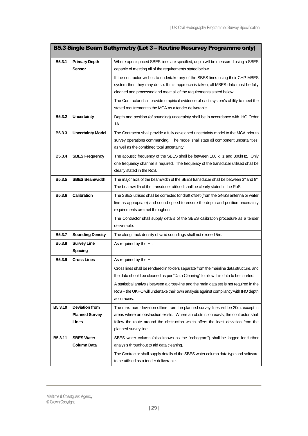<span id="page-28-0"></span>

| B5.3 Single Beam Bathymetry (Lot 3 – Routine Resurvey Programme only) |                                                         |                                                                                                                                                                                                                                                                                                                                                                                                           |
|-----------------------------------------------------------------------|---------------------------------------------------------|-----------------------------------------------------------------------------------------------------------------------------------------------------------------------------------------------------------------------------------------------------------------------------------------------------------------------------------------------------------------------------------------------------------|
| B5.3.1                                                                | <b>Primary Depth</b><br><b>Sensor</b>                   | Where open spaced SBES lines are specified, depth will be measured using a SBES<br>capable of meeting all of the requirements stated below.                                                                                                                                                                                                                                                               |
|                                                                       |                                                         | If the contractor wishes to undertake any of the SBES lines using their CHP MBES<br>system then they may do so. If this approach is taken, all MBES data must be fully<br>cleaned and processed and meet all of the requirements stated below.<br>The Contractor shall provide empirical evidence of each system's ability to meet the                                                                    |
|                                                                       |                                                         | stated requirement to the MCA as a tender deliverable.                                                                                                                                                                                                                                                                                                                                                    |
| B5.3.2                                                                | <b>Uncertainty</b>                                      | Depth and position (of sounding) uncertainty shall be in accordance with IHO Order<br>1A.                                                                                                                                                                                                                                                                                                                 |
| B5.3.3                                                                | <b>Uncertainty Model</b>                                | The Contractor shall provide a fully developed uncertainty model to the MCA prior to<br>survey operations commencing. The model shall state all component uncertainties,<br>as well as the combined total uncertainty.                                                                                                                                                                                    |
| B5.3.4                                                                | <b>SBES Frequency</b>                                   | The acoustic frequency of the SBES shall be between 100 kHz and 300kHz. Only<br>one frequency channel is required. The frequency of the transducer utilised shall be<br>clearly stated in the RoS.                                                                                                                                                                                                        |
| B5.3.5                                                                | <b>SBES Beamwidth</b>                                   | The major axis of the beamwidth of the SBES transducer shall be between 3° and 8°.<br>The beamwidth of the transducer utilised shall be clearly stated in the RoS.                                                                                                                                                                                                                                        |
| B5.3.6                                                                | <b>Calibration</b>                                      | The SBES utilised shall be corrected for draft offset (from the GNSS antenna or water<br>line as appropriate) and sound speed to ensure the depth and position uncertainty<br>requirements are met throughout.<br>The Contractor shall supply details of the SBES calibration procedure as a tender<br>deliverable.                                                                                       |
| B5.3.7                                                                | <b>Sounding Density</b>                                 | The along track density of valid soundings shall not exceed 5m.                                                                                                                                                                                                                                                                                                                                           |
| B5.3.8                                                                | <b>Survey Line</b><br><b>Spacing</b>                    | As required by the HI.                                                                                                                                                                                                                                                                                                                                                                                    |
| B5.3.9                                                                | <b>Cross Lines</b>                                      | As required by the HI.<br>Cross lines shall be rendered in folders separate from the mainline data structure, and<br>the data should be cleaned as per "Data Cleaning" to allow this data to be charted.<br>A statistical analysis between a cross-line and the main data set is not required in the<br>RoS – the UKHO will undertake their own analysis against compliancy with IHO depth<br>accuracies. |
| B5.3.10                                                               | <b>Deviation from</b><br><b>Planned Survey</b><br>Lines | The maximum deviation offline from the planned survey lines will be 20m, except in<br>areas where an obstruction exists. Where an obstruction exists, the contractor shall<br>follow the route around the obstruction which offers the least deviation from the<br>planned survey line.                                                                                                                   |
| <b>B5.3.11</b>                                                        | <b>SBES Water</b><br><b>Column Data</b>                 | SBES water column (also known as the "echogram") shall be logged for further<br>analysis throughout to aid data cleaning.<br>The Contractor shall supply details of the SBES water column data type and software                                                                                                                                                                                          |
|                                                                       |                                                         | to be utilised as a tender deliverable.                                                                                                                                                                                                                                                                                                                                                                   |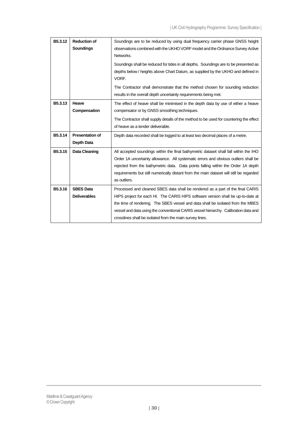| B5.3.12 | <b>Reduction of</b>    | Soundings are to be reduced by using dual frequency carrier phase GNSS height             |
|---------|------------------------|-------------------------------------------------------------------------------------------|
|         | Soundings              | observations combined with the UKHO VORF model and the Ordnance Survey Active             |
|         |                        | Networks.                                                                                 |
|         |                        | Soundings shall be reduced for tides in all depths. Soundings are to be presented as      |
|         |                        | depths below / heights above Chart Datum, as supplied by the UKHO and defined in<br>VORF. |
|         |                        |                                                                                           |
|         |                        | The Contractor shall demonstrate that the method chosen for sounding reduction            |
|         |                        | results in the overall depth uncertainty requirements being met.                          |
| B5.3.13 | Heave                  | The effect of heave shall be minimised in the depth data by use of either a heave         |
|         | Compensation           | compensator or by GNSS smoothing techniques.                                              |
|         |                        | The Contractor shall supply details of the method to be used for countering the effect    |
|         |                        | of heave as a tender deliverable.                                                         |
| B5.3.14 | <b>Presentation of</b> | Depth data recorded shall be logged to at least two decimal places of a metre.            |
|         | Depth Data             |                                                                                           |
| B5.3.15 | Data Cleaning          | All accepted soundings within the final bathymetric dataset shall fall within the IHO     |
|         |                        | Order 1A uncertainty allowance. All systematic errors and obvious outliers shall be       |
|         |                        | rejected from the bathymetric data. Data points falling within the Order 1A depth         |
|         |                        | requirements but still numerically distant from the main dataset will still be regarded   |
|         |                        | as outliers.                                                                              |
| B5.3.16 | <b>SBES Data</b>       | Processed and cleaned SBES data shall be rendered as a part of the final CARIS            |
|         | <b>Deliverables</b>    | HIPS project for each HI. The CARIS HIPS software version shall be up-to-date at          |
|         |                        | the time of rendering. The SBES vessel and data shall be isolated from the MBES           |
|         |                        | vessel and data using the conventional CARIS vessel hierarchy. Calibration data and       |
|         |                        | crosslines shall be isolated from the main survey lines.                                  |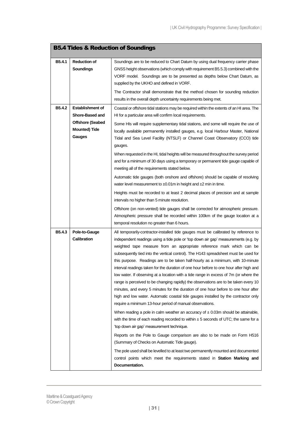<span id="page-30-0"></span>

|                    | <b>B5.4 Tides &amp; Reduction of Soundings</b> |                                                                                                                                                                                 |  |
|--------------------|------------------------------------------------|---------------------------------------------------------------------------------------------------------------------------------------------------------------------------------|--|
| B5.4.1             | <b>Reduction of</b>                            | Soundings are to be reduced to Chart Datum by using dual frequency carrier phase                                                                                                |  |
|                    | <b>Soundings</b>                               | GNSS height observations (which comply with requirement B5.5.3) combined with the                                                                                               |  |
|                    |                                                | VORF model. Soundings are to be presented as depths below Chart Datum, as                                                                                                       |  |
|                    |                                                | supplied by the UKHO and defined in VORF.                                                                                                                                       |  |
|                    |                                                | The Contractor shall demonstrate that the method chosen for sounding reduction                                                                                                  |  |
|                    |                                                | results in the overall depth uncertainty requirements being met.                                                                                                                |  |
| B5.4.2             | <b>Establishment of</b>                        | Coastal or offshore tidal stations may be required within the extents of an HI area. The                                                                                        |  |
|                    | Shore-Based and                                | HI for a particular area will confirm local requirements.                                                                                                                       |  |
|                    | <b>Offshore (Seabed</b>                        | Some HIs will require supplementary tidal stations, and some will require the use of                                                                                            |  |
|                    | <b>Mounted) Tide</b>                           | locally available permanently installed gauges, e.g. local Harbour Master, National                                                                                             |  |
|                    | Gauges                                         | Tidal and Sea Level Facility (NTSLF) or Channel Coast Observatory (CCO) tide                                                                                                    |  |
|                    |                                                | gauges.                                                                                                                                                                         |  |
|                    |                                                | When requested in the HI, tidal heights will be measured throughout the survey period                                                                                           |  |
|                    |                                                | and for a minimum of 30 days using a temporary or permanent tide gauge capable of                                                                                               |  |
|                    |                                                | meeting all of the requirements stated below.                                                                                                                                   |  |
|                    |                                                | Automatic tide gauges (both onshore and offshore) should be capable of resolving                                                                                                |  |
|                    |                                                | water level measurement to $\pm 0.01$ m in height and $\pm 2$ min in time.                                                                                                      |  |
|                    |                                                | Heights must be recorded to at least 2 decimal places of precision and at sample                                                                                                |  |
|                    |                                                | intervals no higher than 5 minute resolution.                                                                                                                                   |  |
|                    |                                                | Offshore (on non-vented) tide gauges shall be corrected for atmospheric pressure.                                                                                               |  |
|                    |                                                | Atmospheric pressure shall be recorded within 100km of the gauge location at a                                                                                                  |  |
|                    |                                                | temporal resolution no greater than 6 hours.                                                                                                                                    |  |
| B <sub>5.4.3</sub> | Pole-to-Gauge                                  | All temporarily-contractor-installed tide gauges must be calibrated by reference to                                                                                             |  |
|                    | <b>Calibration</b>                             | independent readings using a tide pole or 'top down air gap' measurements (e.g. by                                                                                              |  |
|                    |                                                | weighted tape measure from an appropriate reference mark which can be                                                                                                           |  |
|                    |                                                | subsequently tied into the vertical control). The H143 spreadsheet must be used for                                                                                             |  |
|                    |                                                | this purpose. Readings are to be taken half-hourly as a minimum, with 10-minute                                                                                                 |  |
|                    |                                                | interval readings taken for the duration of one hour before to one hour after high and                                                                                          |  |
|                    |                                                | low water. If observing at a location with a tide range in excess of 7m (or where the                                                                                           |  |
|                    |                                                | range is perceived to be changing rapidly) the observations are to be taken every 10                                                                                            |  |
|                    |                                                | minutes, and every 5 minutes for the duration of one hour before to one hour after<br>high and low water. Automatic coastal tide gauges installed by the contractor only        |  |
|                    |                                                | require a minimum 13-hour period of manual observations.                                                                                                                        |  |
|                    |                                                |                                                                                                                                                                                 |  |
|                    |                                                | When reading a pole in calm weather an accuracy of $\pm$ 0.03m should be attainable,<br>with the time of each reading recorded to within $\pm$ 5 seconds of UTC; the same for a |  |
|                    |                                                | 'top down air gap' measurement technique.                                                                                                                                       |  |
|                    |                                                | Reports on the Pole to Gauge comparison are also to be made on Form H516                                                                                                        |  |
|                    |                                                | (Summary of Checks on Automatic Tide gauge).                                                                                                                                    |  |
|                    |                                                | The pole used shall be levelled to at least two permanently mounted and documented                                                                                              |  |
|                    |                                                | control points which meet the requirements stated in Station Marking and<br>Documentation.                                                                                      |  |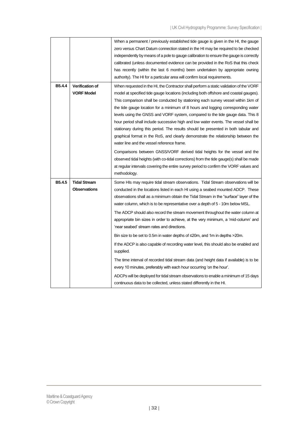|        |                                             | When a permanent / previously established tide gauge is given in the HI, the gauge<br>zero versus Chart Datum connection stated in the HI may be required to be checked<br>independently by means of a pole to gauge calibration to ensure the gauge is correctly<br>calibrated (unless documented evidence can be provided in the RoS that this check<br>has recently (within the last 6 months) been undertaken by appropriate owning<br>authority). The HI for a particular area will confirm local requirements.                                                                                                                                                                                                                                                                                                                                                                                                               |
|--------|---------------------------------------------|------------------------------------------------------------------------------------------------------------------------------------------------------------------------------------------------------------------------------------------------------------------------------------------------------------------------------------------------------------------------------------------------------------------------------------------------------------------------------------------------------------------------------------------------------------------------------------------------------------------------------------------------------------------------------------------------------------------------------------------------------------------------------------------------------------------------------------------------------------------------------------------------------------------------------------|
| B5.4.4 | <b>Verification of</b><br><b>VORF Model</b> | When requested in the HI, the Contractor shall perform a static validation of the VORF<br>model at specified tide gauge locations (including both offshore and coastal gauges).<br>This comparison shall be conducted by stationing each survey vessel within 1km of<br>the tide gauge location for a minimum of 8 hours and logging corresponding water<br>levels using the GNSS and VORF system, compared to the tide gauge data. This 8<br>hour period shall include successive high and low water events. The vessel shall be<br>stationary during this period. The results should be presented in both tabular and<br>graphical format in the RoS, and clearly demonstrate the relationship between the                                                                                                                                                                                                                       |
|        |                                             | water line and the vessel reference frame.<br>Comparisons between GNSS/VORF derived tidal heights for the vessel and the<br>observed tidal heights (with co-tidal corrections) from the tide gauge(s) shall be made<br>at regular intervals covering the entire survey period to confirm the VORF values and<br>methodology.                                                                                                                                                                                                                                                                                                                                                                                                                                                                                                                                                                                                       |
| B5.4.5 | <b>Tidal Stream</b><br><b>Observations</b>  | Some HIs may require tidal stream observations. Tidal Stream observations will be<br>conducted in the locations listed in each HI using a seabed mounted ADCP. These<br>observations shall as a minimum obtain the Tidal Stream in the "surface" layer of the<br>water column, which is to be representative over a depth of 5 - 10m below MSL.<br>The ADCP should also record the stream movement throughout the water column at<br>appropriate bin sizes in order to achieve, at the very minimum, a 'mid-column' and<br>'near seabed' stream rates and directions.<br>Bin size to be set to 0.5m in water depths of $\leq$ 20m, and 1m in depths >20m.<br>If the ADCP is also capable of recording water level, this should also be enabled and<br>supplied.<br>The time interval of recorded tidal stream data (and height data if available) is to be<br>every 10 minutes, preferably with each hour occurring 'on the hour'. |
|        |                                             | ADCPs will be deployed for tidal stream observations to enable a minimum of 15 days<br>continuous data to be collected, unless stated differently in the HI.                                                                                                                                                                                                                                                                                                                                                                                                                                                                                                                                                                                                                                                                                                                                                                       |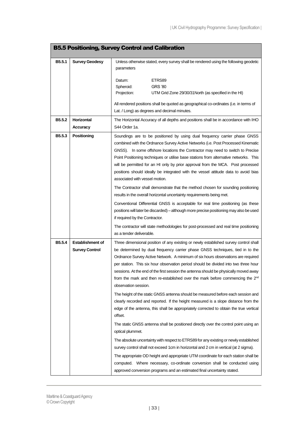<span id="page-32-0"></span>

|                    |                         | <b>B5.5 Positioning, Survey Control and Calibration</b>                                                                                                                                                                                                                                                                                                                                                                                                                                                                                             |
|--------------------|-------------------------|-----------------------------------------------------------------------------------------------------------------------------------------------------------------------------------------------------------------------------------------------------------------------------------------------------------------------------------------------------------------------------------------------------------------------------------------------------------------------------------------------------------------------------------------------------|
| B5.5.1             | <b>Survey Geodesy</b>   | Unless otherwise stated, every survey shall be rendered using the following geodetic<br>parameters                                                                                                                                                                                                                                                                                                                                                                                                                                                  |
|                    |                         | ETRS89<br>Datum:                                                                                                                                                                                                                                                                                                                                                                                                                                                                                                                                    |
|                    |                         | Spheroid:<br><b>GRS '80</b><br>Projection:<br>UTM Grid Zone 29/30/31 North (as specified in the HI)                                                                                                                                                                                                                                                                                                                                                                                                                                                 |
|                    |                         |                                                                                                                                                                                                                                                                                                                                                                                                                                                                                                                                                     |
|                    |                         | All rendered positions shall be quoted as geographical co-ordinates (i.e. in terms of<br>Lat. / Long) as degrees and decimal minutes.                                                                                                                                                                                                                                                                                                                                                                                                               |
| B <sub>5.5.2</sub> | <b>Horizontal</b>       | The Horizontal Accuracy of all depths and positions shall be in accordance with IHO                                                                                                                                                                                                                                                                                                                                                                                                                                                                 |
|                    | <b>Accuracy</b>         | S44 Order 1a.                                                                                                                                                                                                                                                                                                                                                                                                                                                                                                                                       |
| <b>B5.5.3</b>      | Positioning             | Soundings are to be positioned by using dual frequency carrier phase GNSS<br>combined with the Ordnance Survey Active Networks (i.e. Post Processed Kinematic<br>GNSS). In some offshore locations the Contractor may need to switch to Precise<br>Point Positioning techniques or utilise base stations from alternative networks. This<br>will be permitted for an HI only by prior approval from the MCA. Post processed<br>positions should ideally be integrated with the vessel attitude data to avoid bias<br>associated with vessel motion. |
|                    |                         | The Contractor shall demonstrate that the method chosen for sounding positioning<br>results in the overall horizontal uncertainty requirements being met.                                                                                                                                                                                                                                                                                                                                                                                           |
|                    |                         | Conventional Differential GNSS is acceptable for real time positioning (as these<br>positions will later be discarded) – although more precise positioning may also be used<br>if required by the Contractor.                                                                                                                                                                                                                                                                                                                                       |
|                    |                         | The contractor will state methodologies for post-processed and real time positioning<br>as a tender deliverable.                                                                                                                                                                                                                                                                                                                                                                                                                                    |
| B5.5.4             | <b>Establishment of</b> | Three dimensional position of any existing or newly established survey control shall                                                                                                                                                                                                                                                                                                                                                                                                                                                                |
|                    | <b>Survey Control</b>   | be determined by dual frequency carrier phase GNSS techniques, tied in to the                                                                                                                                                                                                                                                                                                                                                                                                                                                                       |
|                    |                         | Ordnance Survey Active Network. A minimum of six hours observations are required                                                                                                                                                                                                                                                                                                                                                                                                                                                                    |
|                    |                         | per station. This six hour observation period should be divided into two three hour<br>sessions. At the end of the first session the antenna should be physically moved away                                                                                                                                                                                                                                                                                                                                                                        |
|                    |                         | from the mark and then re-established over the mark before commencing the 2 <sup>nd</sup><br>observation session.                                                                                                                                                                                                                                                                                                                                                                                                                                   |
|                    |                         | The height of the static GNSS antenna should be measured before each session and<br>clearly recorded and reported. If the height measured is a slope distance from the<br>edge of the antenna, this shall be appropriately corrected to obtain the true vertical<br>offset.                                                                                                                                                                                                                                                                         |
|                    |                         | The static GNSS antenna shall be positioned directly over the control point using an<br>optical plummet.                                                                                                                                                                                                                                                                                                                                                                                                                                            |
|                    |                         | The absolute uncertainty with respect to ETRS89 for any existing or newly established<br>survey control shall not exceed 1cm in horizontal and 2 cm in vertical (at 2 sigma).                                                                                                                                                                                                                                                                                                                                                                       |
|                    |                         | The appropriate OD height and appropriate UTM coordinate for each station shall be<br>computed. Where necessary, co-ordinate conversion shall be conducted using<br>approved conversion programs and an estimated final uncertainty stated.                                                                                                                                                                                                                                                                                                         |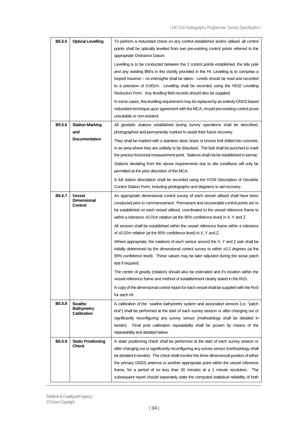| B5.5.5             | <b>Optical Levelling</b>                       | To perform a redundant check on any control established and/or utilised, all control<br>points shall be optically levelled from two pre-existing control points referred to the<br>appropriate Ordnance Datum.                                                                                                                                                                                                                                                                                                                           |
|--------------------|------------------------------------------------|------------------------------------------------------------------------------------------------------------------------------------------------------------------------------------------------------------------------------------------------------------------------------------------------------------------------------------------------------------------------------------------------------------------------------------------------------------------------------------------------------------------------------------------|
|                    |                                                | Levelling is to be conducted between the 2 control points established, the tide pole<br>and any existing BM's in the vicinity provided in the HI. Levelling is to comprise a<br>looped traverse – no intersights shall be taken. Levels should be read and recorded<br>to a precision of 0.001m. Levelling shall be recorded using the H532 Levelling<br>Reduction Form. Any levelling field records should also be supplied.                                                                                                            |
|                    |                                                | In some cases, this levelling requirement may be replaced by an entirely GNSS based<br>redundant technique upon agreement with the MCA, should pre-existing control prove<br>unsuitable or non-existent.                                                                                                                                                                                                                                                                                                                                 |
| B <sub>5.5.6</sub> | <b>Station Marking</b><br>and                  | All geodetic stations established during survey operations shall be described,<br>photographed and permanently marked to assist their future recovery.                                                                                                                                                                                                                                                                                                                                                                                   |
|                    | <b>Documentation</b>                           | They shall be marked with a stainless steel, brass or bronze bolt drilled into concrete,<br>in an area where they are unlikely to be disturbed. The bolt shall be punched to mark<br>the precise horizontal measurement point. Stations shall not be established in tarmac.<br>Stations deviating from the above requirements due to site conditions will only be<br>permitted at the prior discretion of the MCA.<br>A full station description shall be recorded using the H159 Description of Geodetic                                |
|                    |                                                | Control Station Form, including photographs and diagrams to aid recovery.                                                                                                                                                                                                                                                                                                                                                                                                                                                                |
| B5.5.7             | <b>Vessel</b><br><b>Dimensional</b><br>Control | An appropriate dimensional control survey of each vessel utilised shall have been<br>conducted prior to commencement. Permanent and recoverable control points are to<br>be established on each vessel utilised, coordinated to the vessel reference frame to<br>within a tolerance $\pm 0.01$ m relative (at the 95% confidence level) in X, Y and Z.                                                                                                                                                                                   |
|                    |                                                | All sensors shall be established within the vessel reference frame within a tolerance<br>of $\pm 0.02$ m relative (at the 95% confidence level) in X, Y and Z.                                                                                                                                                                                                                                                                                                                                                                           |
|                    |                                                | Where appropriate, the rotations of each sensor around the X, Y and Z axis shall be<br>initially determined by the dimensional control survey to within $\pm 0.2$ degrees (at the<br>95% confidence level). These values may be later adjusted during the sonar patch<br>test if required.                                                                                                                                                                                                                                               |
|                    |                                                | The centre of gravity (rotation) should also be estimated and it's location within the<br>vessel reference frame and method of establishment clearly stated in the RoS.                                                                                                                                                                                                                                                                                                                                                                  |
|                    |                                                | A copy of the dimensional control report for each vessel shall be supplied with the RoS<br>for each HI.                                                                                                                                                                                                                                                                                                                                                                                                                                  |
| B <sub>5.5.8</sub> | Swathe<br><b>Bathymetry</b><br>Calibration     | A calibration of the swathe bathymetry system and associated sensors (i,e, "patch<br>test") shall be performed at the start of each survey season or after changing out or<br>significantly reconfiguring any survey sensor (methodology shall be detailed in<br>tender). Final post calibration repeatability shall be proven by means of the<br>repeatability test detailed below.                                                                                                                                                     |
| B5.5.9             | <b>Static Positioning</b><br><b>Check</b>      | A static positioning check shall be performed at the start of each survey season or<br>after changing out or significantly reconfiguring any survey sensor (methodology shall<br>be detailed in tender). The check shall monitor the three dimensional position of either<br>the primary GNSS antenna or another appropriate point within the vessel reference<br>frame, for a period of no less than 30 minutes at a 1 minute resolution. The<br>subsequent report should separately state the computed statistical reliability of both |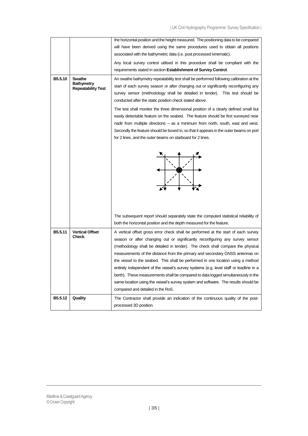|         |                                 | the horizontal position and the height measured. The positioning data to be compared                                                                            |
|---------|---------------------------------|-----------------------------------------------------------------------------------------------------------------------------------------------------------------|
|         |                                 | will have been derived using the same procedures used to obtain all positions                                                                                   |
|         |                                 | associated with the bathymetric data (i.e. post processed kinematic).                                                                                           |
|         |                                 | Any local survey control utilised in this procedure shall be compliant with the                                                                                 |
|         |                                 | requirements stated in section Establishment of Survey Control.                                                                                                 |
| B5.5.10 | Swathe<br><b>Bathymetry</b>     | An swathe bathymetry repeatability test shall be performed following calibration at the                                                                         |
|         | <b>Repeatability Test</b>       | start of each survey season or after changing out or significantly reconfiguring any                                                                            |
|         |                                 | survey sensor (methodology shall be detailed in tender). This test should be<br>conducted after the static position check stated above.                         |
|         |                                 | The test shall monitor the three dimensional position of a clearly defined small but                                                                            |
|         |                                 | easily detectable feature on the seabed. The feature should be first surveyed near                                                                              |
|         |                                 | nadir from multiple directions – as a minimum from north, south, east and west.                                                                                 |
|         |                                 | Secondly the feature should be boxed in, so that it appears in the outer beams on port                                                                          |
|         |                                 | for 2 lines, and the outer beams on starboard for 2 lines.                                                                                                      |
|         |                                 |                                                                                                                                                                 |
|         |                                 | The subsequent report should separately state the computed statistical reliability of                                                                           |
|         |                                 | both the horizontal position and the depth measured for the feature.                                                                                            |
| B5.5.11 | <b>Vertical Offset</b><br>Check | A vertical offset gross error check shall be performed at the start of each survey                                                                              |
|         |                                 | season or after changing out or significantly reconfiguring any survey sensor                                                                                   |
|         |                                 | (methodology shall be detailed in tender). The check shall compare the physical<br>measurements of the distance from the primary and secondary GNSS antennas on |
|         |                                 | the vessel to the seabed. This shall be performed in one location using a method                                                                                |
|         |                                 | entirely independent of the vessel's survey systems (e.g. level staff or leadline in a                                                                          |
|         |                                 | berth). These measurements shall be compared to data logged simultaneously in the                                                                               |
|         |                                 | same location using the vessel's survey system and software. The results should be                                                                              |
|         |                                 | compared and detailed in the RoS.                                                                                                                               |
| B5.5.12 | Quality                         | The Contractor shall provide an indication of the continuous quality of the post-<br>processed 3D position.                                                     |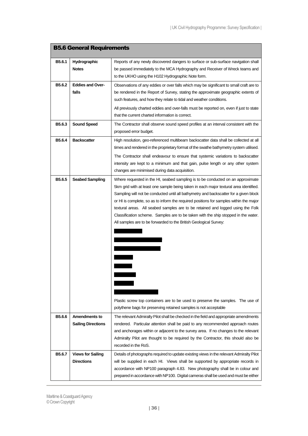<span id="page-35-0"></span>

|                    | <b>B5.6 General Requirements</b>                  |                                                                                                                                                                                                                                                                                                                                                                                                                                                                                                                                                                                                                                                                                                                                                                  |
|--------------------|---------------------------------------------------|------------------------------------------------------------------------------------------------------------------------------------------------------------------------------------------------------------------------------------------------------------------------------------------------------------------------------------------------------------------------------------------------------------------------------------------------------------------------------------------------------------------------------------------------------------------------------------------------------------------------------------------------------------------------------------------------------------------------------------------------------------------|
| B5.6.1             | Hydrographic<br><b>Notes</b>                      | Reports of any newly discovered dangers to surface or sub-surface navigation shall<br>be passed immediately to the MCA Hydrography and Receiver of Wreck teams and<br>to the UKHO using the H102 Hydrographic Note form.                                                                                                                                                                                                                                                                                                                                                                                                                                                                                                                                         |
| B5.6.2             | <b>Eddies and Over-</b><br>falls                  | Observations of any eddies or over falls which may be significant to small craft are to<br>be rendered in the Report of Survey, stating the approximate geographic extents of<br>such features, and how they relate to tidal and weather conditions.<br>All previously charted eddies and over-falls must be reported on, even if just to state<br>that the current charted information is correct.                                                                                                                                                                                                                                                                                                                                                              |
| B5.6.3             | <b>Sound Speed</b>                                | The Contractor shall observe sound speed profiles at an interval consistent with the<br>proposed error budget.                                                                                                                                                                                                                                                                                                                                                                                                                                                                                                                                                                                                                                                   |
| B5.6.4             | <b>Backscatter</b>                                | High resolution, geo-referenced multibeam backscatter data shall be collected at all<br>times and rendered in the proprietary format of the swathe bathymetry system utilised.<br>The Contractor shall endeavour to ensure that systemic variations to backscatter<br>intensity are kept to a minimum and that gain, pulse length or any other system<br>changes are minimised during data acquisition.                                                                                                                                                                                                                                                                                                                                                          |
| B <sub>5.6.5</sub> | <b>Seabed Sampling</b>                            | Where requested in the HI, seabed sampling is to be conducted on an approximate<br>5km grid with at least one sample being taken in each major textural area identified.<br>Sampling will not be conducted until all bathymetry and backscatter for a given block<br>or HI is complete, so as to inform the required positions for samples within the major<br>textural areas. All seabed samples are to be retained and logged using the Folk<br>Classification scheme. Samples are to be taken with the ship stopped in the water.<br>All samples are to be forwarded to the British Geological Survey:<br>Plastic screw top containers are to be used to preserve the samples. The use of<br>polythene bags for preserving retained samples is not acceptable |
| B5.6.6             | <b>Amendments to</b><br><b>Sailing Directions</b> | The relevant Admiralty Pilot shall be checked in the field and appropriate amendments<br>rendered. Particular attention shall be paid to any recommended approach routes<br>and anchorages within or adjacent to the survey area. If no changes to the relevant<br>Admiralty Pilot are thought to be required by the Contractor, this should also be<br>recorded in the RoS.                                                                                                                                                                                                                                                                                                                                                                                     |
| B5.6.7             | <b>Views for Sailing</b><br><b>Directions</b>     | Details of photographs required to update existing views in the relevant Admiralty Pilot<br>will be supplied in each HI. Views shall be supported by appropriate records in<br>accordance with NP100 paragraph 4.83. New photography shall be in colour and<br>prepared in accordance with NP100. Digital cameras shall be used and must be either                                                                                                                                                                                                                                                                                                                                                                                                               |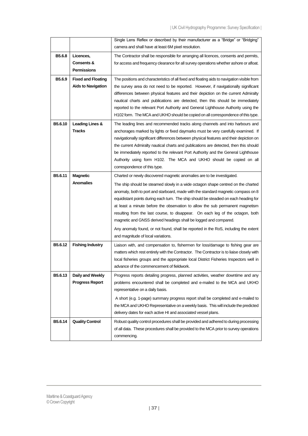|                    |                                  | Single Lens Reflex or described by their manufacturer as a "Bridge" or "Bridging"                                                                                                   |
|--------------------|----------------------------------|-------------------------------------------------------------------------------------------------------------------------------------------------------------------------------------|
|                    |                                  | camera and shall have at least 6M pixel resolution.                                                                                                                                 |
| B <sub>5.6.8</sub> | Licences,                        | The Contractor shall be responsible for arranging all licences, consents and permits,                                                                                               |
|                    | Consents &<br><b>Permissions</b> | for access and frequency clearance for all survey operations whether ashore or afloat.                                                                                              |
|                    |                                  |                                                                                                                                                                                     |
| B5.6.9             | <b>Fixed and Floating</b>        | The positions and characteristics of all fixed and floating aids to navigation visible from                                                                                         |
|                    | <b>Aids to Navigation</b>        | the survey area do not need to be reported. However, if navigationally significant                                                                                                  |
|                    |                                  | differences between physical features and their depiction on the current Admiralty                                                                                                  |
|                    |                                  | nautical charts and publications are detected, then this should be immediately<br>reported to the relevant Port Authority and General Lighthouse Authority using the                |
|                    |                                  | H102 form. The MCA and UKHO should be copied on all correspondence of this type.                                                                                                    |
|                    |                                  |                                                                                                                                                                                     |
| B5.6.10            | Leading Lines &<br><b>Tracks</b> | The leading lines and recommended tracks along channels and into harbours and<br>anchorages marked by lights or fixed daymarks must be very carefully examined. If                  |
|                    |                                  | navigationally significant differences between physical features and their depiction on                                                                                             |
|                    |                                  | the current Admiralty nautical charts and publications are detected, then this should                                                                                               |
|                    |                                  | be immediately reported to the relevant Port Authority and the General Lighthouse                                                                                                   |
|                    |                                  | Authority using form H102. The MCA and UKHO should be copied on all                                                                                                                 |
|                    |                                  | correspondence of this type.                                                                                                                                                        |
| B5.6.11            | <b>Magnetic</b>                  | Charted or newly discovered magnetic anomalies are to be investigated.                                                                                                              |
|                    | <b>Anomalies</b>                 | The ship should be steamed slowly in a wide octagon shape centred on the charted                                                                                                    |
|                    |                                  | anomaly, both to port and starboard, made with the standard magnetic compass on 8                                                                                                   |
|                    |                                  | equidistant points during each turn. The ship should be steadied on each heading for                                                                                                |
|                    |                                  | at least a minute before the observation to allow the sub permanent magnetism                                                                                                       |
|                    |                                  | resulting from the last course, to disappear. On each leg of the octagon, both                                                                                                      |
|                    |                                  | magnetic and GNSS derived headings shall be logged and compared.                                                                                                                    |
|                    |                                  | Any anomaly found, or not found, shall be reported in the RoS, including the extent                                                                                                 |
|                    |                                  | and magnitude of local variations.                                                                                                                                                  |
| B5.6.12            | <b>Fishing Industry</b>          | Liaison with, and compensation to, fishermen for loss/damage to fishing gear are                                                                                                    |
|                    |                                  | matters which rest entirely with the Contractor. The Contractor is to liaise closely with<br>local fisheries groups and the appropriate local District Fisheries Inspectors well in |
|                    |                                  | advance of the commencement of fieldwork.                                                                                                                                           |
| B5.6.13            | Daily and Weekly                 | Progress reports detailing progress, planned activities, weather downtime and any                                                                                                   |
|                    | <b>Progress Report</b>           | problems encountered shall be completed and e-mailed to the MCA and UKHO                                                                                                            |
|                    |                                  | representative on a daily basis.                                                                                                                                                    |
|                    |                                  | A short (e.g. 1-page) summary progress report shall be completed and e-mailed to                                                                                                    |
|                    |                                  | the MCA and UKHO Representative on a weekly basis. This will include the predicted                                                                                                  |
|                    |                                  | delivery dates for each active HI and associated vessel plans.                                                                                                                      |
| B5.6.14            | <b>Quality Control</b>           | Robust quality control procedures shall be provided and adhered to during processing                                                                                                |
|                    |                                  | of all data. These procedures shall be provided to the MCA prior to survey operations                                                                                               |
|                    |                                  | commencing.                                                                                                                                                                         |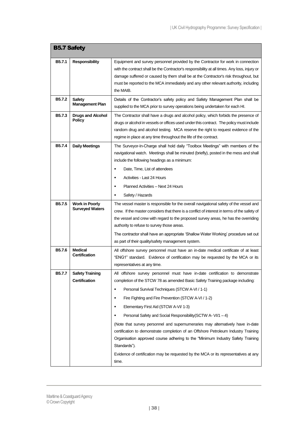<span id="page-37-0"></span>

| <b>B5.7 Safety</b>  |                                                 |                                                                                                                                                                                                                                                                                                                                                                                                                                                                                                                                                                                                                                                                                                                                                                                           |
|---------------------|-------------------------------------------------|-------------------------------------------------------------------------------------------------------------------------------------------------------------------------------------------------------------------------------------------------------------------------------------------------------------------------------------------------------------------------------------------------------------------------------------------------------------------------------------------------------------------------------------------------------------------------------------------------------------------------------------------------------------------------------------------------------------------------------------------------------------------------------------------|
| B <sub>5.7.1</sub>  | <b>Responsibility</b>                           | Equipment and survey personnel provided by the Contractor for work in connection<br>with the contract shall be the Contractor's responsibility at all times. Any loss, injury or<br>damage suffered or caused by them shall be at the Contractor's risk throughout, but<br>must be reported to the MCA immediately and any other relevant authority, including<br>the MAIB.                                                                                                                                                                                                                                                                                                                                                                                                               |
| B <sub>5</sub> .7.2 | <b>Safety</b><br><b>Management Plan</b>         | Details of the Contractor's safety policy and Safety Management Plan shall be<br>supplied to the MCA prior to survey operations being undertaken for each HI.                                                                                                                                                                                                                                                                                                                                                                                                                                                                                                                                                                                                                             |
| B5.7.3              | <b>Drugs and Alcohol</b><br><b>Policy</b>       | The Contractor shall have a drugs and alcohol policy, which forbids the presence of<br>drugs or alcohol in vessels or offices used under this contract. The policy must include<br>random drug and alcohol testing. MCA reserve the right to request evidence of the<br>regime in place at any time throughout the life of the contract.                                                                                                                                                                                                                                                                                                                                                                                                                                                  |
| B5.7.4              | <b>Daily Meetings</b>                           | The Surveyor-In-Charge shall hold daily "Toolbox Meetings" with members of the<br>navigational watch. Meetings shall be minuted (briefly), posted in the mess and shall<br>include the following headings as a minimum:<br>Date, Time, List of attendees<br>٠<br>Activities - Last 24 Hours<br>Planned Activities - Next 24 Hours<br>Safety / Hazards                                                                                                                                                                                                                                                                                                                                                                                                                                     |
| <b>B5.7.5</b>       | <b>Work in Poorly</b><br><b>Surveyed Waters</b> | The vessel master is responsible for the overall navigational safety of the vessel and<br>crew. If the master considers that there is a conflict of interest in terms of the safety of<br>the vessel and crew with regard to the proposed survey areas, he has the overriding<br>authority to refuse to survey those areas.<br>The contractor shall have an appropriate 'Shallow Water Working' procedure set out<br>as part of their quality/safety management system.                                                                                                                                                                                                                                                                                                                   |
| B <sub>5.7.6</sub>  | <b>Medical</b><br><b>Certification</b>          | All offshore survey personnel must have an in-date medical certificate of at least<br>"ENG1" standard. Evidence of certification may be requested by the MCA or its<br>representatives at any time.                                                                                                                                                                                                                                                                                                                                                                                                                                                                                                                                                                                       |
| <b>B5.7.7</b>       | <b>Safety Training</b><br><b>Certification</b>  | All offshore survey personnel must have in-date certification to demonstrate<br>completion of the STCW 78 as amended Basic Safety Training package including:<br>Personal Survival Techniques (STCW A-VI / 1-1)<br>٠<br>Fire Fighting and Fire Prevention (STCW A-VI / 1-2)<br>в<br>Elementary First Aid (STCW A-VI/ 1-3)<br>$\blacksquare$<br>Personal Safety and Social Responsibility (SCTW A-VI/1 - 4)<br>٠<br>(Note that survey personnel and supernumeraries may alternatively have in-date<br>certification to demonstrate completion of an Offshore Petroleum Industry Training<br>Organisation approved course adhering to the "Minimum Industry Safety Training<br>Standards").<br>Evidence of certification may be requested by the MCA or its representatives at any<br>time. |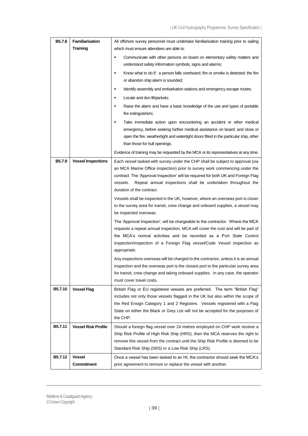| B5.7.8         | <b>Familiarisation</b>     | All offshore survey personnel must undertake familiarisation training prior to sailing                                                                                                                                                                                                                                                                     |
|----------------|----------------------------|------------------------------------------------------------------------------------------------------------------------------------------------------------------------------------------------------------------------------------------------------------------------------------------------------------------------------------------------------------|
|                | <b>Training</b>            | which must ensure attendees are able to:                                                                                                                                                                                                                                                                                                                   |
|                |                            | Communicate with other persons on board on elementary safety matters and<br>٠<br>understand safety information symbols, signs and alarms;                                                                                                                                                                                                                  |
|                |                            | Know what to do if: a person falls overboard; fire or smoke is detected; the fire<br>٠<br>or abandon ship alarm is sounded;                                                                                                                                                                                                                                |
|                |                            | Identify assembly and embarkation stations and emergency escape routes;<br>٠                                                                                                                                                                                                                                                                               |
|                |                            | Locate and don lifejackets;<br>٠                                                                                                                                                                                                                                                                                                                           |
|                |                            | Raise the alarm and have a basic knowledge of the use and types of portable<br>٠<br>fire extinguishers;                                                                                                                                                                                                                                                    |
|                |                            | ٠<br>Take immediate action upon encountering an accident or other medical<br>emergency, before seeking further medical assistance on board; and close or<br>open the fire, weathertight and watertight doors fitted in the particular ship, other<br>than those for hull openings.                                                                         |
|                |                            | Evidence of training may be requested by the MCA or its representatives at any time.                                                                                                                                                                                                                                                                       |
| B5.7.9         | <b>Vessel Inspections</b>  | Each vessel tasked with survey under the CHP shall be subject to approval (via<br>an MCA Marine Office inspection) prior to survey work commencing under the<br>contract. The 'Approval Inspection' will be required for both UK and Foreign Flag<br>Repeat annual inspections shall be undertaken throughout the<br>vessels.<br>duration of the contract. |
|                |                            | Vessels shall be inspected in the UK, however, where an overseas port is closer<br>to the survey area for transit, crew change and onboard supplies, a vessel may<br>be inspected overseas.                                                                                                                                                                |
|                |                            | The 'Approval Inspection', will be chargeable to the contractor. Where the MCA<br>requests a repeat annual inspection, MCA will cover the cost and will be part of<br>the MCA's normal activities and be recorded as a Port State Control<br>inspection/inspection of a Foreign Flag vessel/Code Vessel inspection as<br>appropriate.                      |
|                |                            | Any inspections overseas will be charged to the contractor, unless it is an annual<br>inspection and the overseas port is the closest port to the particular survey area<br>for transit, crew change and taking onboard supplies. In any case, the operator<br>must cover travel costs.                                                                    |
| <b>B5.7.10</b> | <b>Vessel Flag</b>         | British Flag or EU registered vessels are preferred. The term "British Flag"<br>includes not only those vessels flagged in the UK but also within the scope of<br>the Red Ensign Category 1 and 2 Registers. Vessels registered with a Flag<br>State on either the Black or Grey List will not be accepted for the purposes of<br>the CHP.                 |
| <b>B5.7.11</b> | <b>Vessel Risk Profile</b> | Should a foreign flag vessel over 24 metres employed on CHP work receive a<br>Ship Risk Profile of High Risk Ship (HRS), then the MCA reserves the right to<br>remove this vessel from the contract until the Ship Risk Profile is deemed to be<br>Standard Risk Ship (SRS) or a Low Risk Ship (LRS).                                                      |
| B5.7.12        | Vessel                     | Once a vessel has been tasked to an HI, the contractor should seek the MCA's                                                                                                                                                                                                                                                                               |
|                | Commitment                 | prior agreement to remove or replace the vessel with another.                                                                                                                                                                                                                                                                                              |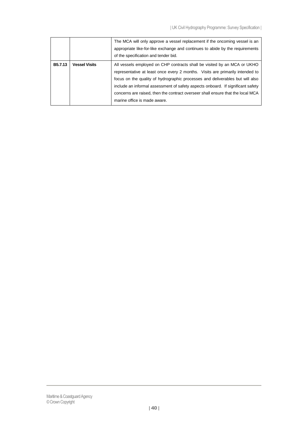|                |                      | The MCA will only approve a vessel replacement if the oncoming vessel is an<br>appropriate like-for-like exchange and continues to abide by the requirements<br>of the specification and tender bid.                                                                                                                                                                                                                                             |
|----------------|----------------------|--------------------------------------------------------------------------------------------------------------------------------------------------------------------------------------------------------------------------------------------------------------------------------------------------------------------------------------------------------------------------------------------------------------------------------------------------|
| <b>B5.7.13</b> | <b>Vessel Visits</b> | All vessels employed on CHP contracts shall be visited by an MCA or UKHO<br>representative at least once every 2 months. Visits are primarily intended to<br>focus on the quality of hydrographic processes and deliverables but will also<br>include an informal assessment of safety aspects onboard. If significant safety<br>concerns are raised, then the contract overseer shall ensure that the local MCA<br>marine office is made aware. |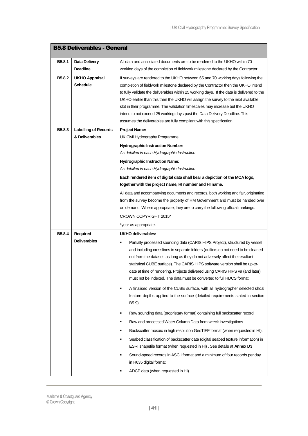<span id="page-40-0"></span>

| <b>B5.8 Deliverables - General</b> |                             |                                                                                                                                                                                                                                                                                                                                                                                                                                                                                                                                                                                                 |
|------------------------------------|-----------------------------|-------------------------------------------------------------------------------------------------------------------------------------------------------------------------------------------------------------------------------------------------------------------------------------------------------------------------------------------------------------------------------------------------------------------------------------------------------------------------------------------------------------------------------------------------------------------------------------------------|
| B <sub>5.8.1</sub>                 | Data Delivery               | All data and associated documents are to be rendered to the UKHO within 70                                                                                                                                                                                                                                                                                                                                                                                                                                                                                                                      |
|                                    | <b>Deadline</b>             | working days of the completion of fieldwork milestone declared by the Contractor.                                                                                                                                                                                                                                                                                                                                                                                                                                                                                                               |
| B5.8.2                             | UKHO Appraisal<br>Schedule  | If surveys are rendered to the UKHO between 65 and 70 working days following the<br>completion of fieldwork milestone declared by the Contractor then the UKHO intend<br>to fully validate the deliverables within 25 working days. If the data is delivered to the<br>UKHO earlier than this then the UKHO will assign the survey to the next available<br>slot in their programme. The validation timescales may increase but the UKHO<br>intend to not exceed 25 working days past the Data Delivery Deadline. This<br>assumes the deliverables are fully compliant with this specification. |
| B5.8.3                             | <b>Labelling of Records</b> | <b>Project Name:</b>                                                                                                                                                                                                                                                                                                                                                                                                                                                                                                                                                                            |
|                                    | & Deliverables              | UK Civil Hydrography Programme                                                                                                                                                                                                                                                                                                                                                                                                                                                                                                                                                                  |
|                                    |                             | <b>Hydrographic Instruction Number:</b>                                                                                                                                                                                                                                                                                                                                                                                                                                                                                                                                                         |
|                                    |                             | As detailed in each Hydrographic Instruction                                                                                                                                                                                                                                                                                                                                                                                                                                                                                                                                                    |
|                                    |                             | <b>Hydrographic Instruction Name:</b>                                                                                                                                                                                                                                                                                                                                                                                                                                                                                                                                                           |
|                                    |                             | As detailed in each Hydrographic Instruction                                                                                                                                                                                                                                                                                                                                                                                                                                                                                                                                                    |
|                                    |                             | Each rendered item of digital data shall bear a depiction of the MCA logo,                                                                                                                                                                                                                                                                                                                                                                                                                                                                                                                      |
|                                    |                             | together with the project name, HI number and HI name.                                                                                                                                                                                                                                                                                                                                                                                                                                                                                                                                          |
|                                    |                             | All data and accompanying documents and records, both working and fair, originating<br>from the survey become the property of HM Government and must be handed over<br>on demand. Where appropriate, they are to carry the following official markings:                                                                                                                                                                                                                                                                                                                                         |
|                                    |                             | CROWN COPYRIGHT 2015*                                                                                                                                                                                                                                                                                                                                                                                                                                                                                                                                                                           |
|                                    |                             | *year as appropriate.                                                                                                                                                                                                                                                                                                                                                                                                                                                                                                                                                                           |
| B5.8.4                             | Required                    | UKHO deliverables:                                                                                                                                                                                                                                                                                                                                                                                                                                                                                                                                                                              |
|                                    | <b>Deliverables</b>         | Partially processed sounding data (CARIS HIPS Project), structured by vessel<br>٠<br>and including crosslines in separate folders (outliers do not need to be cleaned<br>out from the dataset, as long as they do not adversely affect the resultant<br>statistical CUBE surface). The CARIS HIPS software version shall be up-to-<br>date at time of rendering. Projects delivered using CARIS HIPS v9 (and later)<br>must not be indexed. The data must be converted to full HDCS format.<br>A finalised version of the CUBE surface, with all hydrographer selected shoal<br>٠               |
|                                    |                             | feature depths applied to the surface (detailed requirements stated in section<br>B5.9).                                                                                                                                                                                                                                                                                                                                                                                                                                                                                                        |
|                                    |                             | Raw sounding data (proprietary format) containing full backscatter record<br>٠                                                                                                                                                                                                                                                                                                                                                                                                                                                                                                                  |
|                                    |                             | Raw and processed Water Column Data from wreck investigations<br>٠                                                                                                                                                                                                                                                                                                                                                                                                                                                                                                                              |
|                                    |                             | Backscatter mosaic in high resolution GeoTIFF format (when requested in HI).<br>$\blacksquare$                                                                                                                                                                                                                                                                                                                                                                                                                                                                                                  |
|                                    |                             | Seabed classification of backscatter data (digital seabed texture information) in<br>٠<br>ESRI shapefile format (when requested in HI). See details at Annex D3                                                                                                                                                                                                                                                                                                                                                                                                                                 |
|                                    |                             | Sound-speed records in ASCII format and a minimum of four records per day<br>٠<br>in H635 digital format.                                                                                                                                                                                                                                                                                                                                                                                                                                                                                       |
|                                    |                             | ADCP data (when requested in HI).<br>٠                                                                                                                                                                                                                                                                                                                                                                                                                                                                                                                                                          |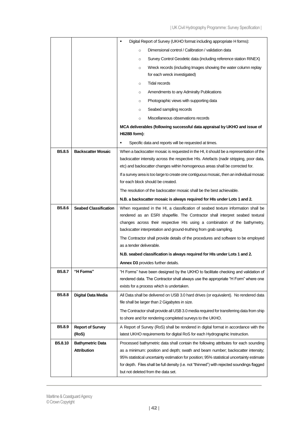|                    |                                               | Digital Report of Survey (UKHO format including appropriate H forms):<br>٠                                                                                                                                                                                                                                                                                                                                                               |  |  |  |  |
|--------------------|-----------------------------------------------|------------------------------------------------------------------------------------------------------------------------------------------------------------------------------------------------------------------------------------------------------------------------------------------------------------------------------------------------------------------------------------------------------------------------------------------|--|--|--|--|
|                    |                                               | Dimensional control / Calibration / validation data<br>$\circ$                                                                                                                                                                                                                                                                                                                                                                           |  |  |  |  |
|                    |                                               | Survey Control Geodetic data (including reference station RINEX)<br>$\circ$                                                                                                                                                                                                                                                                                                                                                              |  |  |  |  |
|                    |                                               | Wreck records (including Images showing the water column replay<br>$\circ$<br>for each wreck investigated)                                                                                                                                                                                                                                                                                                                               |  |  |  |  |
|                    |                                               | <b>Tidal records</b><br>$\circ$                                                                                                                                                                                                                                                                                                                                                                                                          |  |  |  |  |
|                    |                                               | Amendments to any Admiralty Publications<br>$\circ$                                                                                                                                                                                                                                                                                                                                                                                      |  |  |  |  |
|                    |                                               | Photographic views with supporting data<br>$\circ$                                                                                                                                                                                                                                                                                                                                                                                       |  |  |  |  |
|                    |                                               | Seabed sampling records<br>$\circ$                                                                                                                                                                                                                                                                                                                                                                                                       |  |  |  |  |
|                    |                                               | Miscellaneous observations records<br>$\circ$                                                                                                                                                                                                                                                                                                                                                                                            |  |  |  |  |
|                    |                                               | MCA deliverables (following successful data appraisal by UKHO and issue of                                                                                                                                                                                                                                                                                                                                                               |  |  |  |  |
|                    |                                               | H628B form):                                                                                                                                                                                                                                                                                                                                                                                                                             |  |  |  |  |
|                    |                                               | $\blacksquare$<br>Specific data and reports will be requested at times.                                                                                                                                                                                                                                                                                                                                                                  |  |  |  |  |
| B <sub>5.8.5</sub> | <b>Backscatter Mosaic</b>                     | When a backscatter mosaic is requested in the HI, it should be a representation of the<br>backscatter intensity across the respective HIs. Artefacts (nadir stripping, poor data,<br>etc) and backscatter changes within homogenous areas shall be corrected for.<br>If a survey area is too large to create one contiguous mosaic, then an individual mosaic<br>for each block should be created.                                       |  |  |  |  |
|                    |                                               | The resolution of the backscatter mosaic shall be the best achievable.                                                                                                                                                                                                                                                                                                                                                                   |  |  |  |  |
|                    |                                               | N.B. a backscatter mosaic is always required for HIs under Lots 1 and 2.                                                                                                                                                                                                                                                                                                                                                                 |  |  |  |  |
| B5.8.6             | <b>Seabed Classification</b>                  | When requested in the HI, a classification of seabed texture information shall be<br>rendered as an ESRI shapefile. The Contractor shall interpret seabed textural<br>changes across their respective HIs using a combination of the bathymetry,<br>backscatter interpretation and ground-truthing from grab sampling.<br>The Contractor shall provide details of the procedures and software to be employed<br>as a tender deliverable. |  |  |  |  |
|                    |                                               | N.B. seabed classification is always required for HIs under Lots 1 and 2.                                                                                                                                                                                                                                                                                                                                                                |  |  |  |  |
|                    |                                               | Annex D3 provides further details.                                                                                                                                                                                                                                                                                                                                                                                                       |  |  |  |  |
| B5.8.7             | "H Forms"                                     | "H Forms" have been designed by the UKHO to facilitate checking and validation of<br>rendered data. The Contractor shall always use the appropriate "H Form" where one<br>exists for a process which is undertaken.                                                                                                                                                                                                                      |  |  |  |  |
| B <sub>5.8.8</sub> | Digital Data Media                            | All Data shall be delivered on USB 3.0 hard drives (or equivalent). No rendered data<br>file shall be larger than 2 Gigabytes in size.                                                                                                                                                                                                                                                                                                   |  |  |  |  |
|                    |                                               | The Contractor shall provide all USB 3.0 media required for transferring data from ship<br>to shore and for rendering completed surveys to the UKHO.                                                                                                                                                                                                                                                                                     |  |  |  |  |
| B5.8.9             | <b>Report of Survey</b><br>(RoS)              | A Report of Survey (RoS) shall be rendered in digital format in accordance with the<br>latest UKHO requirements for digital RoS for each Hydrographic Instruction.                                                                                                                                                                                                                                                                       |  |  |  |  |
| B5.8.10            | <b>Bathymetric Data</b><br><b>Attribution</b> | Processed bathymetric data shall contain the following attributes for each sounding<br>as a minimum: position and depth; swath and beam number; backscatter intensity;<br>95% statistical uncertainty estimation for position; 95% statistical uncertainty estimate<br>for depth. Files shall be full density (i.e. not "thinned") with rejected soundings flagged<br>but not deleted from the data set.                                 |  |  |  |  |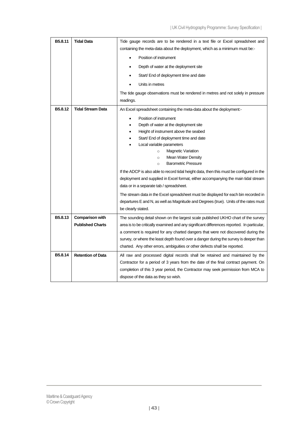| containing the meta-data about the deployment, which as a minimum must be:-<br>Position of instrument<br>Depth of water at the deployment site<br>Start/ End of deployment time and date<br>Units in metres<br>The tide gauge observations must be rendered in metres and not solely in pressure<br>readings.<br>B5.8.12<br><b>Tidal Stream Data</b><br>An Excel spreadsheet containing the meta-data about the deployment:-<br>Position of instrument<br>Depth of water at the deployment site<br>Height of instrument above the seabed<br>Start/ End of deployment time and date<br>Local variable parameters<br><b>Magnetic Variation</b><br>$\circ$<br>Mean Water Density<br>$\circ$<br><b>Barometric Pressure</b><br>$\circ$<br>If the ADCP is also able to record tidal height data, then this must be configured in the<br>deployment and supplied in Excel format, either accompanying the main tidal stream<br>data or in a separate tab / spreadsheet.<br>The stream data in the Excel spreadsheet must be displayed for each bin recorded in<br>departures E and N, as well as Magnitude and Degrees (true). Units of the rates must<br>be clearly stated.<br>B <sub>5.8.13</sub><br><b>Comparison with</b><br>The sounding detail shown on the largest scale published UKHO chart of the survey<br><b>Published Charts</b><br>area is to be critically examined and any significant differences reported. In particular,<br>a comment is required for any charted dangers that were not discovered during the<br>survey, or where the least depth found over a danger during the survey is deeper than<br>charted. Any other errors, ambiguities or other defects shall be reported.<br>B5.8.14<br><b>Retention of Data</b><br>All raw and processed digital records shall be retained and maintained by the<br>Contractor for a period of 3 years from the date of the final contract payment. On | B5.8.11 | <b>Tidal Data</b> | Tide gauge records are to be rendered in a text file or Excel spreadsheet and    |  |  |  |
|----------------------------------------------------------------------------------------------------------------------------------------------------------------------------------------------------------------------------------------------------------------------------------------------------------------------------------------------------------------------------------------------------------------------------------------------------------------------------------------------------------------------------------------------------------------------------------------------------------------------------------------------------------------------------------------------------------------------------------------------------------------------------------------------------------------------------------------------------------------------------------------------------------------------------------------------------------------------------------------------------------------------------------------------------------------------------------------------------------------------------------------------------------------------------------------------------------------------------------------------------------------------------------------------------------------------------------------------------------------------------------------------------------------------------------------------------------------------------------------------------------------------------------------------------------------------------------------------------------------------------------------------------------------------------------------------------------------------------------------------------------------------------------------------------------------------------------------------------------------------------------------------------------------|---------|-------------------|----------------------------------------------------------------------------------|--|--|--|
|                                                                                                                                                                                                                                                                                                                                                                                                                                                                                                                                                                                                                                                                                                                                                                                                                                                                                                                                                                                                                                                                                                                                                                                                                                                                                                                                                                                                                                                                                                                                                                                                                                                                                                                                                                                                                                                                                                                |         |                   |                                                                                  |  |  |  |
|                                                                                                                                                                                                                                                                                                                                                                                                                                                                                                                                                                                                                                                                                                                                                                                                                                                                                                                                                                                                                                                                                                                                                                                                                                                                                                                                                                                                                                                                                                                                                                                                                                                                                                                                                                                                                                                                                                                |         |                   |                                                                                  |  |  |  |
|                                                                                                                                                                                                                                                                                                                                                                                                                                                                                                                                                                                                                                                                                                                                                                                                                                                                                                                                                                                                                                                                                                                                                                                                                                                                                                                                                                                                                                                                                                                                                                                                                                                                                                                                                                                                                                                                                                                |         |                   |                                                                                  |  |  |  |
|                                                                                                                                                                                                                                                                                                                                                                                                                                                                                                                                                                                                                                                                                                                                                                                                                                                                                                                                                                                                                                                                                                                                                                                                                                                                                                                                                                                                                                                                                                                                                                                                                                                                                                                                                                                                                                                                                                                |         |                   |                                                                                  |  |  |  |
|                                                                                                                                                                                                                                                                                                                                                                                                                                                                                                                                                                                                                                                                                                                                                                                                                                                                                                                                                                                                                                                                                                                                                                                                                                                                                                                                                                                                                                                                                                                                                                                                                                                                                                                                                                                                                                                                                                                |         |                   |                                                                                  |  |  |  |
|                                                                                                                                                                                                                                                                                                                                                                                                                                                                                                                                                                                                                                                                                                                                                                                                                                                                                                                                                                                                                                                                                                                                                                                                                                                                                                                                                                                                                                                                                                                                                                                                                                                                                                                                                                                                                                                                                                                |         |                   |                                                                                  |  |  |  |
|                                                                                                                                                                                                                                                                                                                                                                                                                                                                                                                                                                                                                                                                                                                                                                                                                                                                                                                                                                                                                                                                                                                                                                                                                                                                                                                                                                                                                                                                                                                                                                                                                                                                                                                                                                                                                                                                                                                |         |                   |                                                                                  |  |  |  |
|                                                                                                                                                                                                                                                                                                                                                                                                                                                                                                                                                                                                                                                                                                                                                                                                                                                                                                                                                                                                                                                                                                                                                                                                                                                                                                                                                                                                                                                                                                                                                                                                                                                                                                                                                                                                                                                                                                                |         |                   |                                                                                  |  |  |  |
|                                                                                                                                                                                                                                                                                                                                                                                                                                                                                                                                                                                                                                                                                                                                                                                                                                                                                                                                                                                                                                                                                                                                                                                                                                                                                                                                                                                                                                                                                                                                                                                                                                                                                                                                                                                                                                                                                                                |         |                   |                                                                                  |  |  |  |
|                                                                                                                                                                                                                                                                                                                                                                                                                                                                                                                                                                                                                                                                                                                                                                                                                                                                                                                                                                                                                                                                                                                                                                                                                                                                                                                                                                                                                                                                                                                                                                                                                                                                                                                                                                                                                                                                                                                |         |                   |                                                                                  |  |  |  |
|                                                                                                                                                                                                                                                                                                                                                                                                                                                                                                                                                                                                                                                                                                                                                                                                                                                                                                                                                                                                                                                                                                                                                                                                                                                                                                                                                                                                                                                                                                                                                                                                                                                                                                                                                                                                                                                                                                                |         |                   |                                                                                  |  |  |  |
|                                                                                                                                                                                                                                                                                                                                                                                                                                                                                                                                                                                                                                                                                                                                                                                                                                                                                                                                                                                                                                                                                                                                                                                                                                                                                                                                                                                                                                                                                                                                                                                                                                                                                                                                                                                                                                                                                                                |         |                   |                                                                                  |  |  |  |
|                                                                                                                                                                                                                                                                                                                                                                                                                                                                                                                                                                                                                                                                                                                                                                                                                                                                                                                                                                                                                                                                                                                                                                                                                                                                                                                                                                                                                                                                                                                                                                                                                                                                                                                                                                                                                                                                                                                |         |                   |                                                                                  |  |  |  |
|                                                                                                                                                                                                                                                                                                                                                                                                                                                                                                                                                                                                                                                                                                                                                                                                                                                                                                                                                                                                                                                                                                                                                                                                                                                                                                                                                                                                                                                                                                                                                                                                                                                                                                                                                                                                                                                                                                                |         |                   |                                                                                  |  |  |  |
|                                                                                                                                                                                                                                                                                                                                                                                                                                                                                                                                                                                                                                                                                                                                                                                                                                                                                                                                                                                                                                                                                                                                                                                                                                                                                                                                                                                                                                                                                                                                                                                                                                                                                                                                                                                                                                                                                                                |         |                   |                                                                                  |  |  |  |
|                                                                                                                                                                                                                                                                                                                                                                                                                                                                                                                                                                                                                                                                                                                                                                                                                                                                                                                                                                                                                                                                                                                                                                                                                                                                                                                                                                                                                                                                                                                                                                                                                                                                                                                                                                                                                                                                                                                |         |                   |                                                                                  |  |  |  |
|                                                                                                                                                                                                                                                                                                                                                                                                                                                                                                                                                                                                                                                                                                                                                                                                                                                                                                                                                                                                                                                                                                                                                                                                                                                                                                                                                                                                                                                                                                                                                                                                                                                                                                                                                                                                                                                                                                                |         |                   |                                                                                  |  |  |  |
|                                                                                                                                                                                                                                                                                                                                                                                                                                                                                                                                                                                                                                                                                                                                                                                                                                                                                                                                                                                                                                                                                                                                                                                                                                                                                                                                                                                                                                                                                                                                                                                                                                                                                                                                                                                                                                                                                                                |         |                   |                                                                                  |  |  |  |
|                                                                                                                                                                                                                                                                                                                                                                                                                                                                                                                                                                                                                                                                                                                                                                                                                                                                                                                                                                                                                                                                                                                                                                                                                                                                                                                                                                                                                                                                                                                                                                                                                                                                                                                                                                                                                                                                                                                |         |                   |                                                                                  |  |  |  |
|                                                                                                                                                                                                                                                                                                                                                                                                                                                                                                                                                                                                                                                                                                                                                                                                                                                                                                                                                                                                                                                                                                                                                                                                                                                                                                                                                                                                                                                                                                                                                                                                                                                                                                                                                                                                                                                                                                                |         |                   |                                                                                  |  |  |  |
|                                                                                                                                                                                                                                                                                                                                                                                                                                                                                                                                                                                                                                                                                                                                                                                                                                                                                                                                                                                                                                                                                                                                                                                                                                                                                                                                                                                                                                                                                                                                                                                                                                                                                                                                                                                                                                                                                                                |         |                   |                                                                                  |  |  |  |
|                                                                                                                                                                                                                                                                                                                                                                                                                                                                                                                                                                                                                                                                                                                                                                                                                                                                                                                                                                                                                                                                                                                                                                                                                                                                                                                                                                                                                                                                                                                                                                                                                                                                                                                                                                                                                                                                                                                |         |                   |                                                                                  |  |  |  |
|                                                                                                                                                                                                                                                                                                                                                                                                                                                                                                                                                                                                                                                                                                                                                                                                                                                                                                                                                                                                                                                                                                                                                                                                                                                                                                                                                                                                                                                                                                                                                                                                                                                                                                                                                                                                                                                                                                                |         |                   |                                                                                  |  |  |  |
|                                                                                                                                                                                                                                                                                                                                                                                                                                                                                                                                                                                                                                                                                                                                                                                                                                                                                                                                                                                                                                                                                                                                                                                                                                                                                                                                                                                                                                                                                                                                                                                                                                                                                                                                                                                                                                                                                                                |         |                   |                                                                                  |  |  |  |
|                                                                                                                                                                                                                                                                                                                                                                                                                                                                                                                                                                                                                                                                                                                                                                                                                                                                                                                                                                                                                                                                                                                                                                                                                                                                                                                                                                                                                                                                                                                                                                                                                                                                                                                                                                                                                                                                                                                |         |                   |                                                                                  |  |  |  |
|                                                                                                                                                                                                                                                                                                                                                                                                                                                                                                                                                                                                                                                                                                                                                                                                                                                                                                                                                                                                                                                                                                                                                                                                                                                                                                                                                                                                                                                                                                                                                                                                                                                                                                                                                                                                                                                                                                                |         |                   |                                                                                  |  |  |  |
|                                                                                                                                                                                                                                                                                                                                                                                                                                                                                                                                                                                                                                                                                                                                                                                                                                                                                                                                                                                                                                                                                                                                                                                                                                                                                                                                                                                                                                                                                                                                                                                                                                                                                                                                                                                                                                                                                                                |         |                   |                                                                                  |  |  |  |
|                                                                                                                                                                                                                                                                                                                                                                                                                                                                                                                                                                                                                                                                                                                                                                                                                                                                                                                                                                                                                                                                                                                                                                                                                                                                                                                                                                                                                                                                                                                                                                                                                                                                                                                                                                                                                                                                                                                |         |                   |                                                                                  |  |  |  |
|                                                                                                                                                                                                                                                                                                                                                                                                                                                                                                                                                                                                                                                                                                                                                                                                                                                                                                                                                                                                                                                                                                                                                                                                                                                                                                                                                                                                                                                                                                                                                                                                                                                                                                                                                                                                                                                                                                                |         |                   | completion of this 3 year period, the Contractor may seek permission from MCA to |  |  |  |
| dispose of the data as they so wish.                                                                                                                                                                                                                                                                                                                                                                                                                                                                                                                                                                                                                                                                                                                                                                                                                                                                                                                                                                                                                                                                                                                                                                                                                                                                                                                                                                                                                                                                                                                                                                                                                                                                                                                                                                                                                                                                           |         |                   |                                                                                  |  |  |  |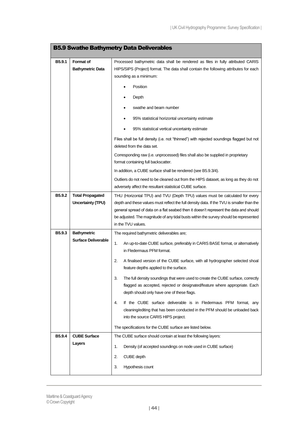<span id="page-43-0"></span>

| <b>B5.9 Swathe Bathymetry Data Deliverables</b> |                                                     |                                                                                                                                                                                                                                                                                                                                                                                   |  |  |  |  |
|-------------------------------------------------|-----------------------------------------------------|-----------------------------------------------------------------------------------------------------------------------------------------------------------------------------------------------------------------------------------------------------------------------------------------------------------------------------------------------------------------------------------|--|--|--|--|
| B <sub>5.9.1</sub>                              | <b>Format of</b><br><b>Bathymetric Data</b>         | Processed bathymetric data shall be rendered as files in fully attributed CARIS<br>HIPS/SIPS (Project) format. The data shall contain the following attributes for each<br>sounding as a minimum:<br>Position                                                                                                                                                                     |  |  |  |  |
|                                                 |                                                     | Depth<br>swathe and beam number<br>95% statistical horizontal uncertainty estimate                                                                                                                                                                                                                                                                                                |  |  |  |  |
|                                                 |                                                     | 95% statistical vertical uncertainty estimate                                                                                                                                                                                                                                                                                                                                     |  |  |  |  |
|                                                 |                                                     | Files shall be full density (i.e. not "thinned") with rejected soundings flagged but not<br>deleted from the data set.                                                                                                                                                                                                                                                            |  |  |  |  |
|                                                 |                                                     | Corresponding raw (i.e. unprocessed) files shall also be supplied in proprietary<br>format containing full backscatter.                                                                                                                                                                                                                                                           |  |  |  |  |
|                                                 |                                                     | In addition, a CUBE surface shall be rendered (see B5.9.3/4).<br>Outliers do not need to be cleaned out from the HIPS dataset, as long as they do not<br>adversely affect the resultant statistical CUBE surface.                                                                                                                                                                 |  |  |  |  |
| B5.9.2                                          | <b>Total Propagated</b><br><b>Uncertainty (TPU)</b> | THU (Horizontal TPU) and TVU (Depth TPU) values must be calculated for every<br>depth and these values must reflect the full density data. If the TVU is smaller than the<br>general spread of data on a flat seabed then it doesn't represent the data and should<br>be adjusted. The magnitude of any tidal busts within the survey should be represented<br>in the TVU values. |  |  |  |  |
| B5.9.3                                          | <b>Bathymetric</b><br><b>Surface Deliverable</b>    | The required bathymetric deliverables are;<br>1.<br>An up-to-date CUBE surface, preferably in CARIS BASE format, or alternatively<br>in Fledermaus PFM format.<br>2.<br>A finalised version of the CUBE surface, with all hydrographer selected shoal<br>feature depths applied to the surface.                                                                                   |  |  |  |  |
|                                                 |                                                     | 3.<br>The full density soundings that were used to create the CUBE surface, correctly<br>flagged as accepted, rejected or designated/feature where appropriate. Each<br>depth should only have one of these flags.                                                                                                                                                                |  |  |  |  |
|                                                 |                                                     | 4.<br>If the CUBE surface deliverable is in Fledermaus PFM format, any<br>cleaning/editing that has been conducted in the PFM should be unloaded back<br>into the source CARIS HIPS project.                                                                                                                                                                                      |  |  |  |  |
|                                                 |                                                     | The specifications for the CUBE surface are listed below.                                                                                                                                                                                                                                                                                                                         |  |  |  |  |
| B5.9.4                                          | <b>CUBE Surface</b><br>Layers                       | The CUBE surface should contain at least the following layers:<br>Density (of accepted soundings on node used in CUBE surface)<br>1.                                                                                                                                                                                                                                              |  |  |  |  |
|                                                 |                                                     | 2.<br>CUBE depth<br>3.<br>Hypothesis count                                                                                                                                                                                                                                                                                                                                        |  |  |  |  |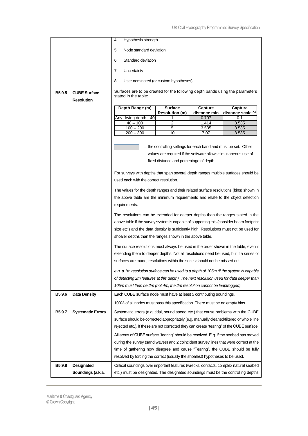|                    |                          | Hypothesis strength<br>4.                                                                                                                                     |                                                                 |                |                  |  |  |
|--------------------|--------------------------|---------------------------------------------------------------------------------------------------------------------------------------------------------------|-----------------------------------------------------------------|----------------|------------------|--|--|
|                    |                          |                                                                                                                                                               |                                                                 |                |                  |  |  |
|                    |                          | Node standard deviation<br>5.                                                                                                                                 |                                                                 |                |                  |  |  |
|                    |                          | Standard deviation<br>6.                                                                                                                                      |                                                                 |                |                  |  |  |
|                    |                          | 7.<br>Uncertainty                                                                                                                                             |                                                                 |                |                  |  |  |
|                    |                          | 8.                                                                                                                                                            | User nominated (or custom hypotheses)                           |                |                  |  |  |
| B <sub>5.9.5</sub> | <b>CUBE Surface</b>      | Surfaces are to be created for the following depth bands using the parameters                                                                                 |                                                                 |                |                  |  |  |
|                    | <b>Resolution</b>        | stated in the table:                                                                                                                                          |                                                                 |                |                  |  |  |
|                    |                          | Depth Range (m)                                                                                                                                               | <b>Surface</b>                                                  | Capture        | Capture          |  |  |
|                    |                          |                                                                                                                                                               | <b>Resolution (m)</b>                                           | distance min   | distance scale % |  |  |
|                    |                          | Any drying depth - 40<br>$40 - 100$                                                                                                                           | 1<br>2                                                          | 0.707<br>1.414 | 0.1<br>3.535     |  |  |
|                    |                          | $100 - 200$                                                                                                                                                   | 5                                                               | 3.535          | 3.535            |  |  |
|                    |                          | $200 - 300$                                                                                                                                                   | 10                                                              | 7.07           | 3.535            |  |  |
|                    |                          |                                                                                                                                                               |                                                                 |                |                  |  |  |
|                    |                          |                                                                                                                                                               | = the controlling settings for each band and must be set. Other |                |                  |  |  |
|                    |                          |                                                                                                                                                               | values are required if the software allows simultaneous use of  |                |                  |  |  |
|                    |                          |                                                                                                                                                               | fixed distance and percentage of depth.                         |                |                  |  |  |
|                    |                          |                                                                                                                                                               |                                                                 |                |                  |  |  |
|                    |                          | For surveys with depths that span several depth ranges multiple surfaces should be<br>used each with the correct resolution.                                  |                                                                 |                |                  |  |  |
|                    |                          |                                                                                                                                                               |                                                                 |                |                  |  |  |
|                    |                          | The values for the depth ranges and their related surface resolutions (bins) shown in                                                                         |                                                                 |                |                  |  |  |
|                    |                          | the above table are the minimum requirements and relate to the object detection                                                                               |                                                                 |                |                  |  |  |
|                    |                          | requirements.                                                                                                                                                 |                                                                 |                |                  |  |  |
|                    |                          | The resolutions can be extended for deeper depths than the ranges stated in the                                                                               |                                                                 |                |                  |  |  |
|                    |                          | above table if the survey system is capable of supporting this (consider beam footprint                                                                       |                                                                 |                |                  |  |  |
|                    |                          | size etc.) and the data density is sufficiently high. Resolutions must not be used for                                                                        |                                                                 |                |                  |  |  |
|                    |                          | shoaler depths than the ranges shown in the above table.                                                                                                      |                                                                 |                |                  |  |  |
|                    |                          | The surface resolutions must always be used in the order shown in the table, even if                                                                          |                                                                 |                |                  |  |  |
|                    |                          | extending them to deeper depths. Not all resolutions need be used, but if a series of                                                                         |                                                                 |                |                  |  |  |
|                    |                          | surfaces are made, resolutions within the series should not be missed out.                                                                                    |                                                                 |                |                  |  |  |
|                    |                          | e.g. a 1m resolution surface can be used to a depth of 105m (if the system is capable                                                                         |                                                                 |                |                  |  |  |
|                    |                          | of detecting 2m features at this depth). The next resolution used for data deeper than                                                                        |                                                                 |                |                  |  |  |
|                    |                          | 105m must then be 2m (not 4m, the 2m resolution cannot be leapfrogged).                                                                                       |                                                                 |                |                  |  |  |
| B5.9.6             | <b>Data Density</b>      | Each CUBE surface node must have at least 5 contributing soundings.                                                                                           |                                                                 |                |                  |  |  |
|                    |                          | 100% of all nodes must pass this specification. There must be no empty bins.                                                                                  |                                                                 |                |                  |  |  |
| B5.9.7             | <b>Systematic Errors</b> | Systematic errors (e.g. tidal, sound speed etc.) that cause problems with the CUBE                                                                            |                                                                 |                |                  |  |  |
|                    |                          | surface should be corrected appropriately (e.g. manually cleaned/filtered or whole line                                                                       |                                                                 |                |                  |  |  |
|                    |                          | rejected etc.). If these are not corrected they can create "tearing" of the CUBE surface.                                                                     |                                                                 |                |                  |  |  |
|                    |                          | All areas of CUBE surface "tearing" should be resolved. E.g. if the seabed has moved                                                                          |                                                                 |                |                  |  |  |
|                    |                          | during the survey (sand waves) and 2 coincident survey lines that were correct at the                                                                         |                                                                 |                |                  |  |  |
|                    |                          |                                                                                                                                                               |                                                                 |                |                  |  |  |
|                    |                          | time of gathering now disagree and cause "Tearing", the CUBE should be fully<br>resolved by forcing the correct (usually the shoalest) hypotheses to be used. |                                                                 |                |                  |  |  |
|                    |                          |                                                                                                                                                               |                                                                 |                |                  |  |  |
| B5.9.8             | Designated               | Critical soundings over important features (wrecks, contacts, complex natural seabed                                                                          |                                                                 |                |                  |  |  |
|                    | Soundings (a.k.a.        | etc.) must be designated. The designated soundings must be the controlling depths                                                                             |                                                                 |                |                  |  |  |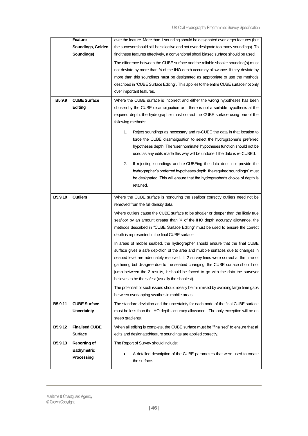|         | Feature               | over the feature. More than 1 sounding should be designated over larger features (but          |  |  |  |  |  |
|---------|-----------------------|------------------------------------------------------------------------------------------------|--|--|--|--|--|
|         | Soundings, Golden     | the surveyor should still be selective and not over designate too many soundings). To          |  |  |  |  |  |
|         | Soundings)            | find these features effectively, a conventional shoal biased surface should be used.           |  |  |  |  |  |
|         |                       | The difference between the CUBE surface and the reliable shoaler sounding(s) must              |  |  |  |  |  |
|         |                       | not deviate by more than $\frac{3}{4}$ of the IHO depth accuracy allowance. If they deviate by |  |  |  |  |  |
|         |                       | more than this soundings must be designated as appropriate or use the methods                  |  |  |  |  |  |
|         |                       | described in "CUBE Surface Editing". This applies to the entire CUBE surface not only          |  |  |  |  |  |
|         |                       | over important features.                                                                       |  |  |  |  |  |
| B5.9.9  | <b>CUBE Surface</b>   | Where the CUBE surface is incorrect and either the wrong hypotheses has been                   |  |  |  |  |  |
|         | Editing               | chosen by the CUBE disambiguation or if there is not a suitable hypothesis at the              |  |  |  |  |  |
|         |                       | required depth, the hydrographer must correct the CUBE surface using one of the                |  |  |  |  |  |
|         |                       | following methods:                                                                             |  |  |  |  |  |
|         |                       | 1.<br>Reject soundings as necessary and re-CUBE the data in that location to                   |  |  |  |  |  |
|         |                       | force the CUBE disambiguation to select the hydrographer's preferred                           |  |  |  |  |  |
|         |                       | hypotheses depth. The 'user nominate' hypotheses function should not be                        |  |  |  |  |  |
|         |                       | used as any edits made this way will be undone if the data is re-CUBEd.                        |  |  |  |  |  |
|         |                       |                                                                                                |  |  |  |  |  |
|         |                       | 2.<br>If rejecting soundings and re-CUBEing the data does not provide the                      |  |  |  |  |  |
|         |                       | hydrographer's preferred hypotheses depth, the required sounding(s) must                       |  |  |  |  |  |
|         |                       | be designated. This will ensure that the hydrographer's choice of depth is                     |  |  |  |  |  |
|         |                       | retained.                                                                                      |  |  |  |  |  |
| B5.9.10 | <b>Outliers</b>       | Where the CUBE surface is honouring the seafloor correctly outliers need not be                |  |  |  |  |  |
|         |                       | removed from the full density data.                                                            |  |  |  |  |  |
|         |                       | Where outliers cause the CUBE surface to be shoaler or deeper than the likely true             |  |  |  |  |  |
|         |                       | seafloor by an amount greater than $\frac{3}{4}$ of the IHO depth accuracy allowance, the      |  |  |  |  |  |
|         |                       | methods described in "CUBE Surface Editing" must be used to ensure the correct                 |  |  |  |  |  |
|         |                       | depth is represented in the final CUBE surface.                                                |  |  |  |  |  |
|         |                       | In areas of mobile seabed, the hydrographer should ensure that the final CUBE                  |  |  |  |  |  |
|         |                       | surface gives a safe depiction of the area and multiple surfaces due to changes in             |  |  |  |  |  |
|         |                       | seabed level are adequately resolved. If 2 survey lines were correct at the time of            |  |  |  |  |  |
|         |                       | gathering but disagree due to the seabed changing, the CUBE surface should not                 |  |  |  |  |  |
|         |                       | jump between the 2 results, it should be forced to go with the data the surveyor               |  |  |  |  |  |
|         |                       | believes to be the safest (usually the shoalest).                                              |  |  |  |  |  |
|         |                       | The potential for such issues should ideally be minimised by avoiding large time gaps          |  |  |  |  |  |
|         |                       | between overlapping swathes in mobile areas.                                                   |  |  |  |  |  |
| B5.9.11 | <b>CUBE Surface</b>   | The standard deviation and the uncertainty for each node of the final CUBE surface             |  |  |  |  |  |
|         | <b>Uncertainty</b>    | must be less than the IHO depth accuracy allowance. The only exception will be on              |  |  |  |  |  |
|         |                       | steep gradients.                                                                               |  |  |  |  |  |
| B5.9.12 | <b>Finalised CUBE</b> | When all editing is complete, the CUBE surface must be "finalised" to ensure that all          |  |  |  |  |  |
|         | <b>Surface</b>        | edits and designated/feature soundings are applied correctly.                                  |  |  |  |  |  |
| B5.9.13 | Reporting of          |                                                                                                |  |  |  |  |  |
|         | <b>Bathymetric</b>    | The Report of Survey should include:                                                           |  |  |  |  |  |
|         | Processing            | A detailed description of the CUBE parameters that were used to create                         |  |  |  |  |  |
|         |                       | the surface.                                                                                   |  |  |  |  |  |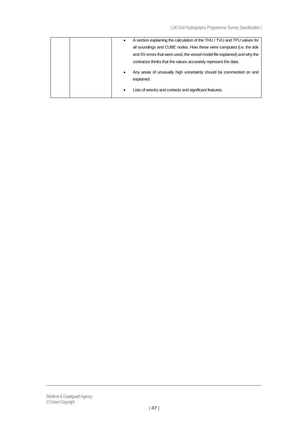| A section explaining the calculation of the THU / TVU and TPU values for              |
|---------------------------------------------------------------------------------------|
|                                                                                       |
| all soundings and CUBE nodes. How these were computed (i.e. the tide                  |
| and SV errors that were used, the vessel model file explained) and why the            |
| contractor thinks that the values accurately represent the data.                      |
| Any areas of unusually high uncertainty should be commented on and<br>٠<br>explained. |
| Lists of wrecks and contacts and significant features.<br>٠                           |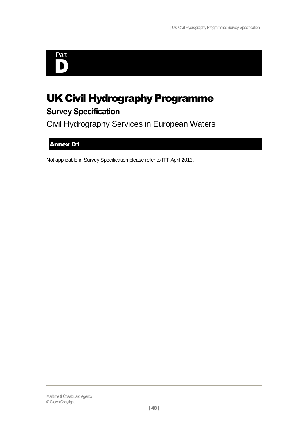

# UK Civil Hydrography Programme **Survey Specification**

Civil Hydrography Services in European Waters

# <span id="page-47-0"></span>Annex D1

Not applicable in Survey Specification please refer to ITT April 2013.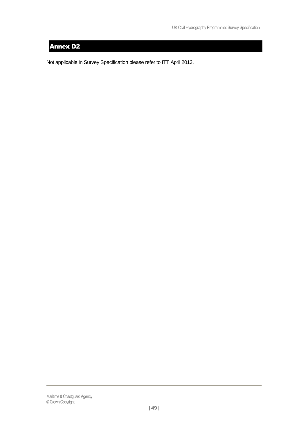# <span id="page-48-0"></span>Annex D2

Not applicable in Survey Specification please refer to ITT April 2013.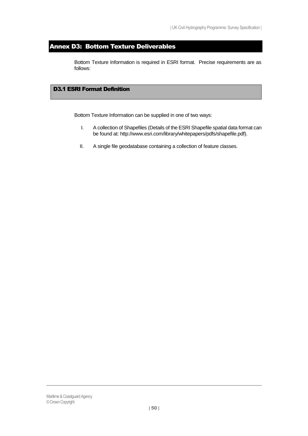# <span id="page-49-0"></span>Annex D3: Bottom Texture Deliverables

Bottom Texture Information is required in ESRI format. Precise requirements are as follows:

# <span id="page-49-1"></span>D3.1 ESRI Format Definition

Bottom Texture Information can be supplied in one of two ways:

- I. A collection of Shapefiles (Details of the ESRI Shapefile spatial data format can be found at: http://www.esri.com/library/whitepapers/pdfs/shapefile.pdf).
- II. A single file geodatabase containing a collection of feature classes.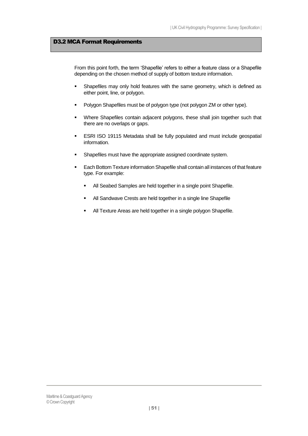## <span id="page-50-0"></span>D3.2 MCA Format Requirements

From this point forth, the term 'Shapefile' refers to either a feature class or a Shapefile depending on the chosen method of supply of bottom texture information.

- **Shapefiles may only hold features with the same geometry, which is defined as** either point, line, or polygon.
- Polygon Shapefiles must be of polygon type (not polygon ZM or other type).
- **•** Where Shapefiles contain adjacent polygons, these shall join together such that there are no overlaps or gaps.
- ESRI ISO 19115 Metadata shall be fully populated and must include geospatial information.
- Shapefiles must have the appropriate assigned coordinate system.
- Each Bottom Texture information Shapefile shall contain all instances of that feature type. For example:
	- All Seabed Samples are held together in a single point Shapefile.
	- All Sandwave Crests are held together in a single line Shapefile
	- All Texture Areas are held together in a single polygon Shapefile.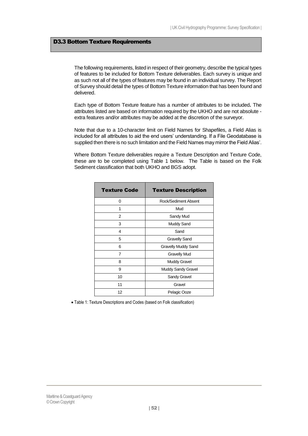### <span id="page-51-0"></span>D3.3 Bottom Texture Requirements

The following requirements, listed in respect of their geometry, describe the typical types of features to be included for Bottom Texture deliverables. Each survey is unique and as such not all of the types of features may be found in an individual survey. The Report of Survey should detail the types of Bottom Texture information that has been found and delivered.

Each type of Bottom Texture feature has a number of attributes to be included**.** The attributes listed are based on information required by the UKHO and are not absolute extra features and/or attributes may be added at the discretion of the surveyor.

Note that due to a 10-character limit on Field Names for Shapefiles, a Field Alias is included for all attributes to aid the end users' understanding. If a File Geodatabase is supplied then there is no such limitation and the Field Names may mirror the Field Alias'.

Where Bottom Texture deliverables require a Texture Description and Texture Code, these are to be completed using [Table 1](#page-51-1) below. The Table is based on the Folk Sediment classification that both UKHO and BGS adopt.

| <b>Texture Code</b> | <b>Texture Description</b> |  |  |
|---------------------|----------------------------|--|--|
| 0                   | Rock/Sediment Absent       |  |  |
| 1                   | Mud                        |  |  |
| 2                   | Sandy Mud                  |  |  |
| 3                   | Muddy Sand                 |  |  |
| 4                   | Sand                       |  |  |
| 5                   | <b>Gravelly Sand</b>       |  |  |
| 6                   | <b>Gravelly Muddy Sand</b> |  |  |
| 7                   | <b>Gravelly Mud</b>        |  |  |
| 8                   | <b>Muddy Gravel</b>        |  |  |
| 9                   | <b>Muddy Sandy Gravel</b>  |  |  |
| 10                  | Sandy Gravel               |  |  |
| 11                  | Gravel                     |  |  |
| 12                  | Pelagic Ooze               |  |  |

<span id="page-51-1"></span>Table 1: Texture Descriptions and Codes (based on Folk classification)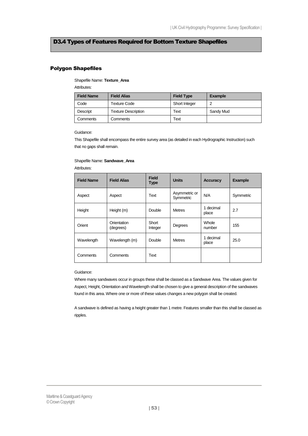# <span id="page-52-0"></span>D3.4 Types of Features Required for Bottom Texture Shapefiles

### Polygon Shapefiles

# Shapefile Name: **Texture\_Area**

Attributes:

| <b>Field Name</b> | <b>Field Alias</b>         | <b>Field Type</b> | <b>Example</b> |
|-------------------|----------------------------|-------------------|----------------|
| Code              | <b>Texture Code</b>        | Short Integer     | c              |
| Descript          | <b>Texture Description</b> | Text              | Sandy Mud      |
| Comments          | Comments                   | Text              |                |

#### Guidance:

This Shapefile shall encompass the entire survey area (as detailed in each Hydrographic Instruction) such that no gaps shall remain.

#### Shapefile Name: **Sandwave\_Area**

Attributes:

| <b>Field Name</b> | <b>Field Alias</b>       | <b>Field</b><br><b>Type</b> | <b>Units</b>               | <b>Accuracy</b>    | <b>Example</b> |
|-------------------|--------------------------|-----------------------------|----------------------------|--------------------|----------------|
| Aspect            | Aspect                   | Text                        | Asymmetric or<br>Symmetric | N/A                | Symmetric      |
| Height            | Height (m)               | Double                      | <b>Metres</b>              | 1 decimal<br>place | 2.7            |
| Orient            | Orientation<br>(degrees) | Short<br>Integer            | Degrees                    | Whole<br>number    | 155            |
| Wavelength        | Wavelength (m)           | Double                      | <b>Metres</b>              | 1 decimal<br>place | 25.0           |
| Comments          | Comments                 | Text                        |                            |                    |                |

#### Guidance:

Where many sandwaves occur in groups these shall be classed as a Sandwave Area. The values given for Aspect, Height, Orientation and Wavelength shall be chosen to give a general description of the sandwaves found in this area. Where one or more of these values changes a new polygon shall be created.

A sandwave is defined as having a height greater than 1 metre. Features smaller than this shall be classed as ripples.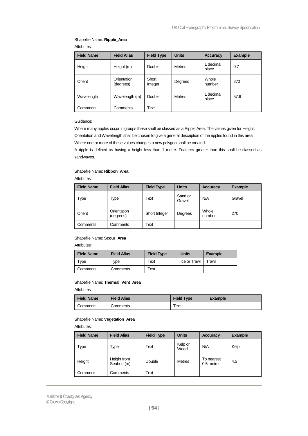# Shapefile Name: **Ripple\_Area**

Attributes:

| <b>Field Name</b> | <b>Field Alias</b>       | <b>Field Type</b> | <b>Units</b>  | Accuracy           | <b>Example</b> |
|-------------------|--------------------------|-------------------|---------------|--------------------|----------------|
| Height            | Height (m)               | Double            | <b>Metres</b> | 1 decimal<br>place | 0.7            |
| Orient            | Orientation<br>(degrees) | Short<br>Integer  | Degrees       | Whole<br>number    | 270            |
| Wavelength        | Wavelength (m)           | Double            | <b>Metres</b> | 1 decimal<br>place | 57.6           |
| Comments          | Comments                 | Text              |               |                    |                |

### Guidance:

Where many ripples occur in groups these shall be classed as a Ripple Area. The values given for Height, Orientation and Wavelength shall be chosen to give a general description of the ripples found in this area. Where one or more of these values changes a new polygon shall be created.

A ripple is defined as having a height less than 1 metre. Features greater than this shall be classed as sandwaves.

### Shapefile Name: **Ribbon\_Area**

Attributes:

| <b>Field Name</b> | <b>Field Alias</b>       | <b>Field Type</b> | <b>Units</b>      | <b>Accuracy</b> | <b>Example</b> |
|-------------------|--------------------------|-------------------|-------------------|-----------------|----------------|
| Type              | Гуре                     | Text              | Sand or<br>Gravel | N/A             | Gravel         |
| Orient            | Orientation<br>(degrees) | Short Integer     | Degrees           | Whole<br>number | 270            |
| Comments          | Comments                 | Text              |                   |                 |                |

### Shapefile Name: **Scour\_Area**

Attributes:

| <b>Field Name</b> | <b>Field Alias</b> | <b>Field Type</b> | <b>Units</b> | <b>Example</b> |
|-------------------|--------------------|-------------------|--------------|----------------|
| Type              | Type               | Text              | Ice or Trawl | Trawl          |
| Comments          | Comments           | Text              |              |                |

## Shapefile Name: **Thermal\_Vent\_Area**

#### Attributes:

| <b>Field Name</b> | Field Alias | <b>Field Type</b>     | <b>Example</b> |
|-------------------|-------------|-----------------------|----------------|
| Comments          | Comments    | $\tau_{\mathsf{ext}}$ |                |

### Shapefile Name: **Vegetation\_Area**

Attributes:

| <b>Field Name</b> | <b>Field Alias</b>        | <b>Field Type</b> | <b>Units</b>    | Accuracy                | <b>Example</b> |
|-------------------|---------------------------|-------------------|-----------------|-------------------------|----------------|
| Type              | Type                      | Text              | Kelp or<br>Weed | N/A                     | Kelp           |
| Height            | Height from<br>Seabed (m) | Double            | <b>Metres</b>   | To nearest<br>0.5 metre | 4.5            |
| Comments          | Comments                  | Text              |                 |                         |                |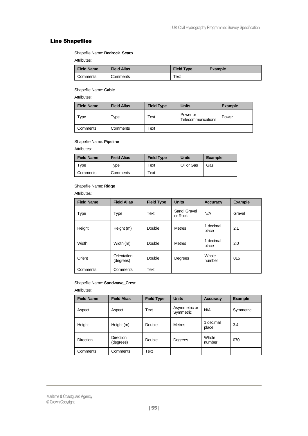### Line Shapefiles

Shapefile Name: **Bedrock\_Scarp**

Attributes:

| <b>Field Name</b> | <b>Field Alias</b> | <b>Field Type</b> | <b>Example</b> |
|-------------------|--------------------|-------------------|----------------|
| Comments          | Comments           | Text              |                |

### Shapefile Name: **Cable**

Attributes:

| <b>Field Name</b> | <b>Field Alias</b> | <b>Field Type</b> | <b>Units</b>                   | Example |
|-------------------|--------------------|-------------------|--------------------------------|---------|
| vpe               | Гуре               | Text              | Power or<br>Telecommunications | Power   |
| Comments          | Comments           | Text              |                                |         |

### Shapefile Name: **Pipeline**

Attributes:

| <b>Field Name</b> | <b>Field Alias</b>  | <b>Field Type</b> | <b>Units</b> | <b>Example</b> |
|-------------------|---------------------|-------------------|--------------|----------------|
| vpe"              | $\tau_\mathsf{VDE}$ | Text              | Oil or Gas   | Gas            |
| Comments          | Comments            | Text              |              |                |

### Shapefile Name: **Ridge**

Attributes:

| <b>Field Name</b> | <b>Field Alias</b>       | <b>Field Type</b> | <b>Units</b>            | <b>Accuracy</b>    | <b>Example</b> |
|-------------------|--------------------------|-------------------|-------------------------|--------------------|----------------|
| Type              | Type                     | Text              | Sand, Gravel<br>or Rock | N/A                | Gravel         |
| Height            | Height (m)               | Double            | <b>Metres</b>           | 1 decimal<br>place | 2.1            |
| Width             | Width (m)                | Double            | <b>Metres</b>           | 1 decimal<br>place | 2.0            |
| Orient            | Orientation<br>(degrees) | Double            | Degrees                 | Whole<br>number    | 015            |
| Comments          | Comments                 | Text              |                         |                    |                |

### Shapefile Name: **Sandwave\_Crest**

Attributes:

| <b>Field Name</b> | <b>Field Alias</b>            | <b>Field Type</b> | <b>Units</b>               | <b>Accuracy</b>    | <b>Example</b> |
|-------------------|-------------------------------|-------------------|----------------------------|--------------------|----------------|
| Aspect            | Aspect                        | Text              | Asymmetric or<br>Symmetric | N/A                | Symmetric      |
| Height            | Height (m)                    | Double            | <b>Metres</b>              | 1 decimal<br>place | 3.4            |
| <b>Direction</b>  | <b>Direction</b><br>(degrees) | Double            | Degrees                    | Whole<br>number    | 070            |
| Comments          | Comments                      | Text              |                            |                    |                |